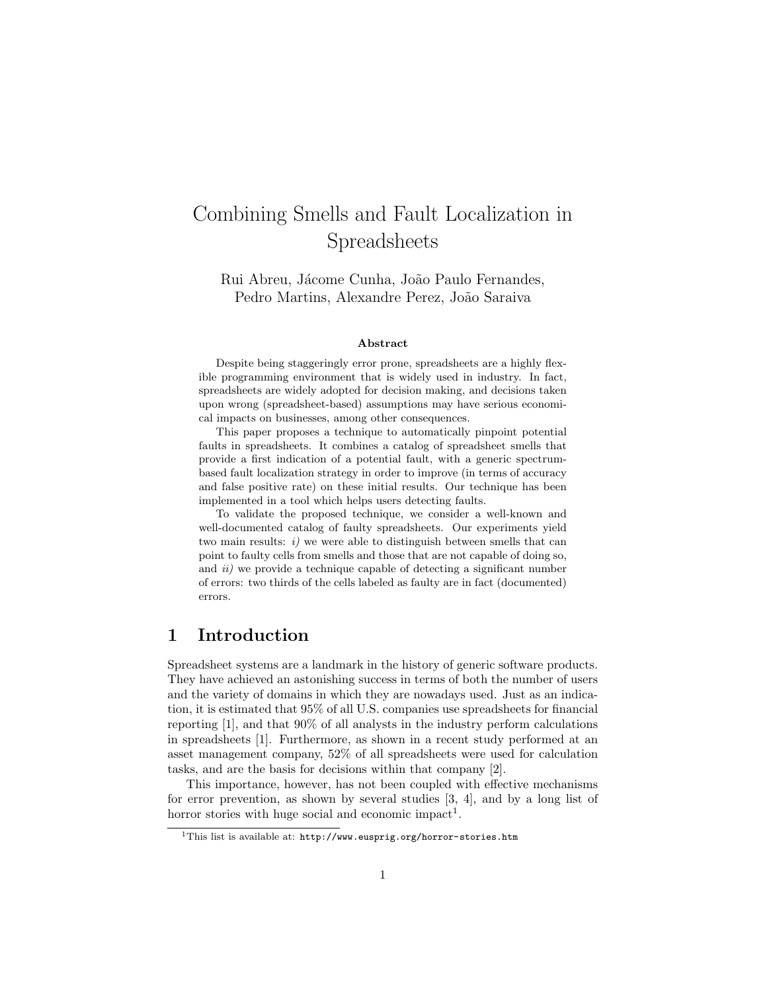# Combining Smells and Fault Localization in Spreadsheets

Rui Abreu, Jácome Cunha, João Paulo Fernandes, Pedro Martins, Alexandre Perez, João Saraiva

#### Abstract

Despite being staggeringly error prone, spreadsheets are a highly flexible programming environment that is widely used in industry. In fact, spreadsheets are widely adopted for decision making, and decisions taken upon wrong (spreadsheet-based) assumptions may have serious economical impacts on businesses, among other consequences.

This paper proposes a technique to automatically pinpoint potential faults in spreadsheets. It combines a catalog of spreadsheet smells that provide a first indication of a potential fault, with a generic spectrumbased fault localization strategy in order to improve (in terms of accuracy and false positive rate) on these initial results. Our technique has been implemented in a tool which helps users detecting faults.

To validate the proposed technique, we consider a well-known and well-documented catalog of faulty spreadsheets. Our experiments yield two main results:  $i)$  we were able to distinguish between smells that can point to faulty cells from smells and those that are not capable of doing so, and  $ii)$  we provide a technique capable of detecting a significant number of errors: two thirds of the cells labeled as faulty are in fact (documented) errors.

## 1 Introduction

Spreadsheet systems are a landmark in the history of generic software products. They have achieved an astonishing success in terms of both the number of users and the variety of domains in which they are nowadays used. Just as an indication, it is estimated that 95% of all U.S. companies use spreadsheets for financial reporting [1], and that 90% of all analysts in the industry perform calculations in spreadsheets [1]. Furthermore, as shown in a recent study performed at an asset management company, 52% of all spreadsheets were used for calculation tasks, and are the basis for decisions within that company [2].

This importance, however, has not been coupled with effective mechanisms for error prevention, as shown by several studies [3, 4], and by a long list of horror stories with huge social and economic impact<sup>1</sup>.

<sup>&</sup>lt;sup>1</sup>This list is available at:  $http://www.euspring.org/horror-stories.htm$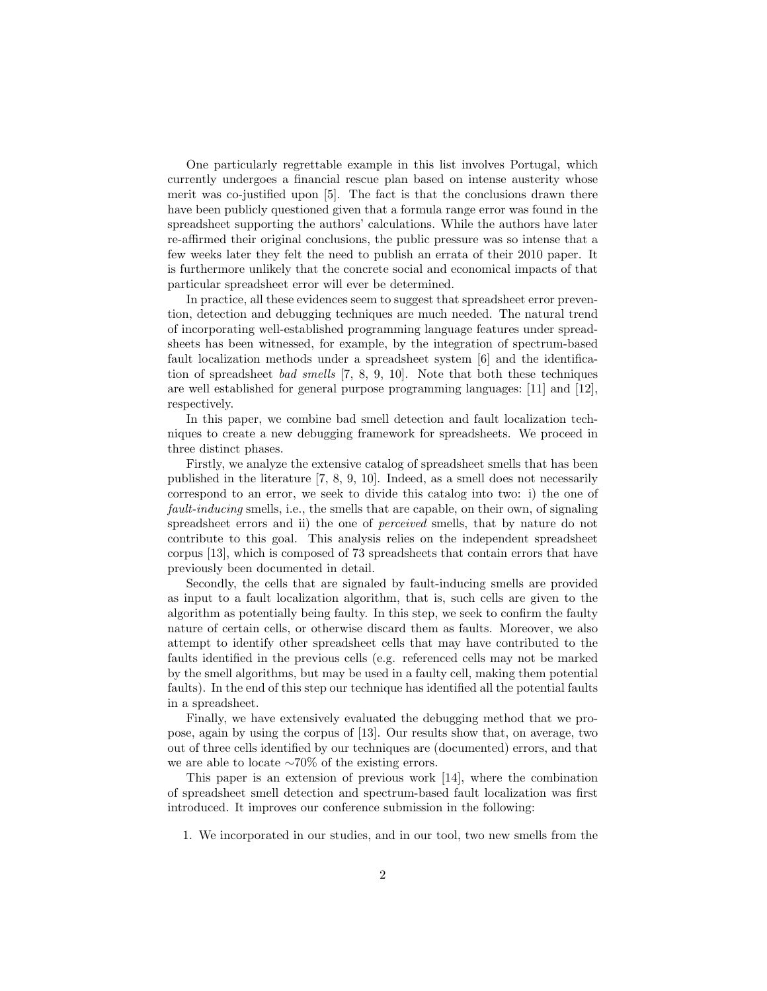One particularly regrettable example in this list involves Portugal, which currently undergoes a financial rescue plan based on intense austerity whose merit was co-justified upon [5]. The fact is that the conclusions drawn there have been publicly questioned given that a formula range error was found in the spreadsheet supporting the authors' calculations. While the authors have later re-affirmed their original conclusions, the public pressure was so intense that a few weeks later they felt the need to publish an errata of their 2010 paper. It is furthermore unlikely that the concrete social and economical impacts of that particular spreadsheet error will ever be determined.

In practice, all these evidences seem to suggest that spreadsheet error prevention, detection and debugging techniques are much needed. The natural trend of incorporating well-established programming language features under spreadsheets has been witnessed, for example, by the integration of spectrum-based fault localization methods under a spreadsheet system [6] and the identification of spreadsheet bad smells [7, 8, 9, 10]. Note that both these techniques are well established for general purpose programming languages: [11] and [12], respectively.

In this paper, we combine bad smell detection and fault localization techniques to create a new debugging framework for spreadsheets. We proceed in three distinct phases.

Firstly, we analyze the extensive catalog of spreadsheet smells that has been published in the literature [7, 8, 9, 10]. Indeed, as a smell does not necessarily correspond to an error, we seek to divide this catalog into two: i) the one of fault-inducing smells, i.e., the smells that are capable, on their own, of signaling spreadsheet errors and ii) the one of *perceived* smells, that by nature do not contribute to this goal. This analysis relies on the independent spreadsheet corpus [13], which is composed of 73 spreadsheets that contain errors that have previously been documented in detail.

Secondly, the cells that are signaled by fault-inducing smells are provided as input to a fault localization algorithm, that is, such cells are given to the algorithm as potentially being faulty. In this step, we seek to confirm the faulty nature of certain cells, or otherwise discard them as faults. Moreover, we also attempt to identify other spreadsheet cells that may have contributed to the faults identified in the previous cells (e.g. referenced cells may not be marked by the smell algorithms, but may be used in a faulty cell, making them potential faults). In the end of this step our technique has identified all the potential faults in a spreadsheet.

Finally, we have extensively evaluated the debugging method that we propose, again by using the corpus of [13]. Our results show that, on average, two out of three cells identified by our techniques are (documented) errors, and that we are able to locate ∼70% of the existing errors.

This paper is an extension of previous work [14], where the combination of spreadsheet smell detection and spectrum-based fault localization was first introduced. It improves our conference submission in the following:

1. We incorporated in our studies, and in our tool, two new smells from the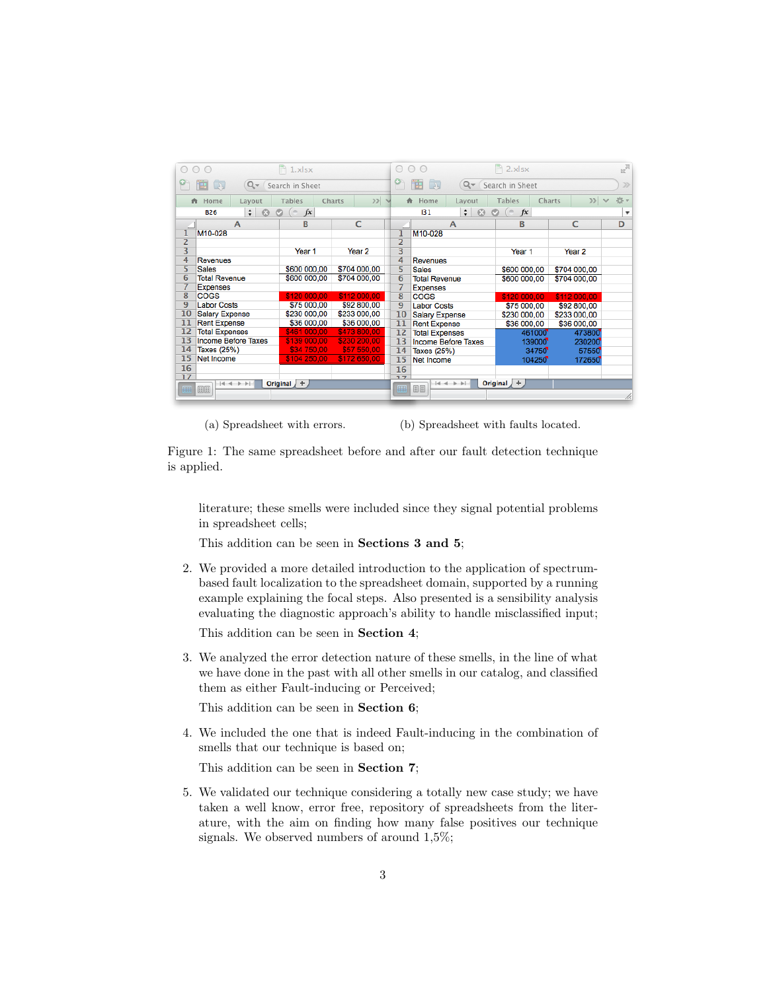|                                                      | 000                         |  | $\Box$ 1.xlsx |        |                                                       |     | 000                   |                            | $\geq$ 2.xlsx     |        |                          | <b>In</b> |
|------------------------------------------------------|-----------------------------|--|---------------|--------|-------------------------------------------------------|-----|-----------------------|----------------------------|-------------------|--------|--------------------------|-----------|
| 曲<br>$\Box$<br>$Q -$<br>Search in Sheet              |                             |  |               |        | ۴<br>$Q -$<br>$\Box$<br>曲<br>$\gg$<br>Search in Sheet |     |                       |                            |                   |        |                          |           |
|                                                      | <del>A</del> Home<br>Lavout |  | <b>Tables</b> | Charts | $\gg$<br>$\sim$                                       |     | <del>A</del> Home     | Lavout                     | <b>Tables</b>     | Charts | $\gg$                    | 选。        |
| $\odot$<br>$($ fx<br>$\div$<br>$\circ$<br><b>B26</b> |                             |  |               |        |                                                       | 131 | $\div$ $\odot$        | $\odot$ (= fx              |                   |        | $\overline{\phantom{a}}$ |           |
|                                                      | $\mathsf{A}$                |  | B.            |        | C                                                     |     |                       | A                          | B                 |        | C                        | D         |
| 1                                                    | M10-028                     |  |               |        |                                                       | ı   | M10-028               |                            |                   |        |                          |           |
| 2                                                    |                             |  |               |        |                                                       | 2   |                       |                            |                   |        |                          |           |
| 3                                                    |                             |  | Year 1        |        | Year <sub>2</sub>                                     | 3   |                       |                            | Year <sub>1</sub> |        | Year <sub>2</sub>        |           |
| 4                                                    | <b>Revenues</b>             |  |               |        |                                                       | 4   | <b>Revenues</b>       |                            |                   |        |                          |           |
| 5                                                    | <b>Sales</b>                |  | \$600 000,00  |        | \$704 000,00                                          | 5   | <b>Sales</b>          |                            | \$600 000,00      |        | \$704 000,00             |           |
|                                                      | 6<br><b>Total Revenue</b>   |  | \$600 000,00  |        | \$704 000,00                                          | 6   | <b>Total Revenue</b>  |                            | \$600 000,00      |        | \$704 000,00             |           |
| 7                                                    | <b>Expenses</b>             |  |               |        |                                                       | 7   | <b>Expenses</b>       |                            |                   |        |                          |           |
| 8                                                    | <b>COGS</b>                 |  | \$120 000,00  |        | \$112 000.00                                          | 8   | <b>COGS</b>           |                            | \$120 000,00      |        | \$112 000,00             |           |
| 9                                                    | <b>Labor Costs</b>          |  | \$75 000,00   |        | \$92 800,00                                           | 9   | <b>Labor Costs</b>    |                            | \$75 000,00       |        | \$92 800,00              |           |
| 10                                                   | <b>Salary Expense</b>       |  | \$230 000,00  |        | \$233 000,00                                          | 10  | <b>Salary Expense</b> |                            | \$230 000,00      |        | \$233 000,00             |           |
| 11                                                   | <b>Rent Expense</b>         |  | \$36 000,00   |        | \$36 000,00                                           | 11  | <b>Rent Expense</b>   |                            | \$36 000,00       |        | \$36 000,00              |           |
| 12                                                   | <b>Total Expenses</b>       |  | \$461 000,00  |        | \$473 800,00                                          | 12  | <b>Total Expenses</b> |                            |                   | 461000 | 473800                   |           |
| 13                                                   | <b>Income Before Taxes</b>  |  | \$139 000,00  |        | \$230 200,00                                          | 13  |                       | <b>Income Before Taxes</b> |                   | 139000 | 230200                   |           |
| 14                                                   | Taxes (25%)                 |  | \$34 750,00   |        | \$57 550.00                                           | 14  | Taxes (25%)           |                            |                   | 34750  | 57550                    |           |
| 15                                                   | Net Income                  |  | \$104 250.00  |        | \$172 650.00                                          | 15  | Net Income            |                            |                   | 104250 | 172650                   |           |
| 16                                                   |                             |  |               |        |                                                       | 16  |                       |                            |                   |        |                          |           |
| 17                                                   |                             |  |               |        |                                                       | 77  |                       |                            |                   |        |                          |           |
| E                                                    | $-4 + + +$<br>田田            |  | Original $+$  |        |                                                       | 團   | 日日                    | $+ + + + +$                | Original $+$      |        |                          |           |
|                                                      |                             |  |               |        |                                                       |     |                       |                            |                   |        |                          |           |

(a) Spreadsheet with errors. (b) Spreadsheet with faults located.

Figure 1: The same spreadsheet before and after our fault detection technique is applied.

literature; these smells were included since they signal potential problems in spreadsheet cells;

This addition can be seen in Sections 3 and 5;

2. We provided a more detailed introduction to the application of spectrumbased fault localization to the spreadsheet domain, supported by a running example explaining the focal steps. Also presented is a sensibility analysis evaluating the diagnostic approach's ability to handle misclassified input;

This addition can be seen in Section 4;

3. We analyzed the error detection nature of these smells, in the line of what we have done in the past with all other smells in our catalog, and classified them as either Fault-inducing or Perceived;

This addition can be seen in Section 6;

4. We included the one that is indeed Fault-inducing in the combination of smells that our technique is based on;

This addition can be seen in Section 7;

5. We validated our technique considering a totally new case study; we have taken a well know, error free, repository of spreadsheets from the literature, with the aim on finding how many false positives our technique signals. We observed numbers of around 1,5%;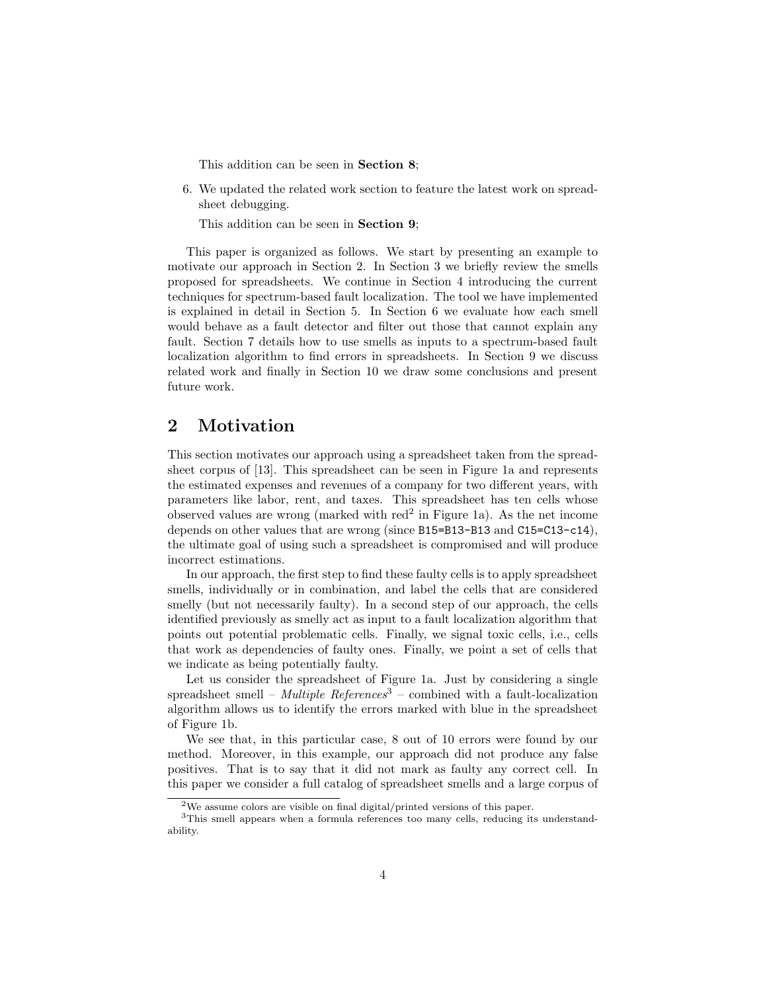This addition can be seen in Section 8;

6. We updated the related work section to feature the latest work on spreadsheet debugging.

This addition can be seen in Section 9;

This paper is organized as follows. We start by presenting an example to motivate our approach in Section 2. In Section 3 we briefly review the smells proposed for spreadsheets. We continue in Section 4 introducing the current techniques for spectrum-based fault localization. The tool we have implemented is explained in detail in Section 5. In Section 6 we evaluate how each smell would behave as a fault detector and filter out those that cannot explain any fault. Section 7 details how to use smells as inputs to a spectrum-based fault localization algorithm to find errors in spreadsheets. In Section 9 we discuss related work and finally in Section 10 we draw some conclusions and present future work.

## 2 Motivation

This section motivates our approach using a spreadsheet taken from the spreadsheet corpus of [13]. This spreadsheet can be seen in Figure 1a and represents the estimated expenses and revenues of a company for two different years, with parameters like labor, rent, and taxes. This spreadsheet has ten cells whose observed values are wrong (marked with red<sup>2</sup> in Figure 1a). As the net income depends on other values that are wrong (since B15=B13-B13 and C15=C13-c14), the ultimate goal of using such a spreadsheet is compromised and will produce incorrect estimations.

In our approach, the first step to find these faulty cells is to apply spreadsheet smells, individually or in combination, and label the cells that are considered smelly (but not necessarily faulty). In a second step of our approach, the cells identified previously as smelly act as input to a fault localization algorithm that points out potential problematic cells. Finally, we signal toxic cells, i.e., cells that work as dependencies of faulty ones. Finally, we point a set of cells that we indicate as being potentially faulty.

Let us consider the spreadsheet of Figure 1a. Just by considering a single spreadsheet smell – Multiple References<sup>3</sup> – combined with a fault-localization algorithm allows us to identify the errors marked with blue in the spreadsheet of Figure 1b.

We see that, in this particular case, 8 out of 10 errors were found by our method. Moreover, in this example, our approach did not produce any false positives. That is to say that it did not mark as faulty any correct cell. In this paper we consider a full catalog of spreadsheet smells and a large corpus of

<sup>&</sup>lt;sup>2</sup>We assume colors are visible on final digital/printed versions of this paper.

<sup>&</sup>lt;sup>3</sup>This smell appears when a formula references too many cells, reducing its understandability.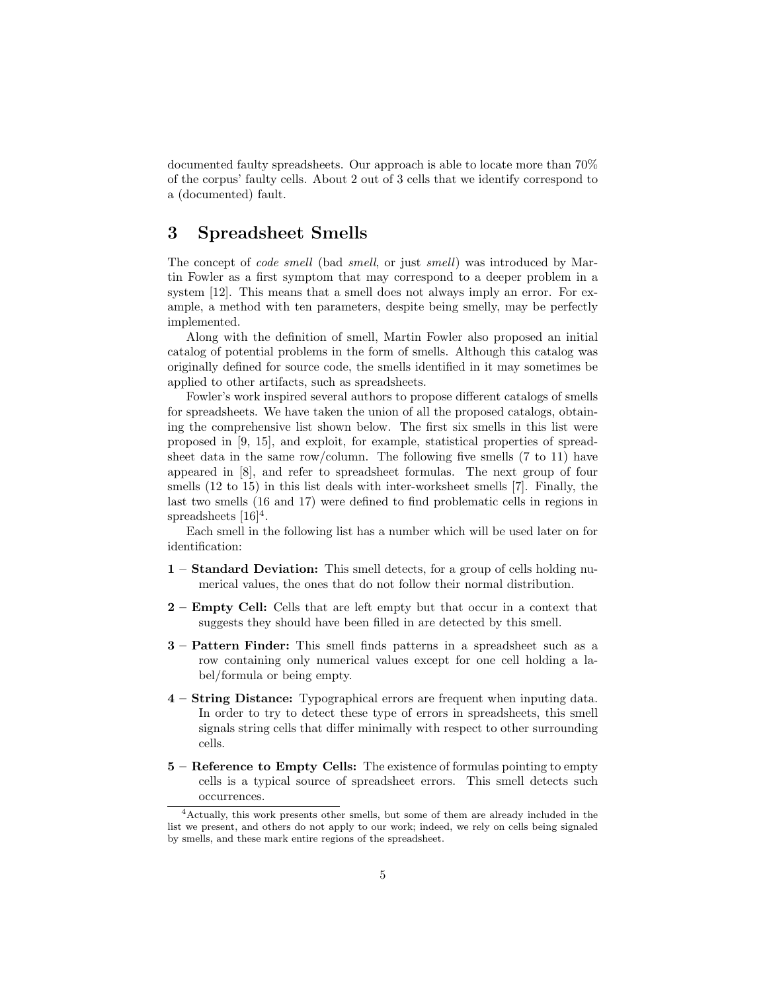documented faulty spreadsheets. Our approach is able to locate more than 70% of the corpus' faulty cells. About 2 out of 3 cells that we identify correspond to a (documented) fault.

## 3 Spreadsheet Smells

The concept of *code smell* (bad *smell*, or just *smell*) was introduced by Martin Fowler as a first symptom that may correspond to a deeper problem in a system [12]. This means that a smell does not always imply an error. For example, a method with ten parameters, despite being smelly, may be perfectly implemented.

Along with the definition of smell, Martin Fowler also proposed an initial catalog of potential problems in the form of smells. Although this catalog was originally defined for source code, the smells identified in it may sometimes be applied to other artifacts, such as spreadsheets.

Fowler's work inspired several authors to propose different catalogs of smells for spreadsheets. We have taken the union of all the proposed catalogs, obtaining the comprehensive list shown below. The first six smells in this list were proposed in [9, 15], and exploit, for example, statistical properties of spreadsheet data in the same row/column. The following five smells (7 to 11) have appeared in [8], and refer to spreadsheet formulas. The next group of four smells (12 to 15) in this list deals with inter-worksheet smells [7]. Finally, the last two smells (16 and 17) were defined to find problematic cells in regions in spreadsheets  $[16]^4$ .

Each smell in the following list has a number which will be used later on for identification:

- 1 Standard Deviation: This smell detects, for a group of cells holding numerical values, the ones that do not follow their normal distribution.
- 2 Empty Cell: Cells that are left empty but that occur in a context that suggests they should have been filled in are detected by this smell.
- 3 Pattern Finder: This smell finds patterns in a spreadsheet such as a row containing only numerical values except for one cell holding a label/formula or being empty.
- 4 String Distance: Typographical errors are frequent when inputing data. In order to try to detect these type of errors in spreadsheets, this smell signals string cells that differ minimally with respect to other surrounding cells.
- 5 Reference to Empty Cells: The existence of formulas pointing to empty cells is a typical source of spreadsheet errors. This smell detects such occurrences.

<sup>4</sup>Actually, this work presents other smells, but some of them are already included in the list we present, and others do not apply to our work; indeed, we rely on cells being signaled by smells, and these mark entire regions of the spreadsheet.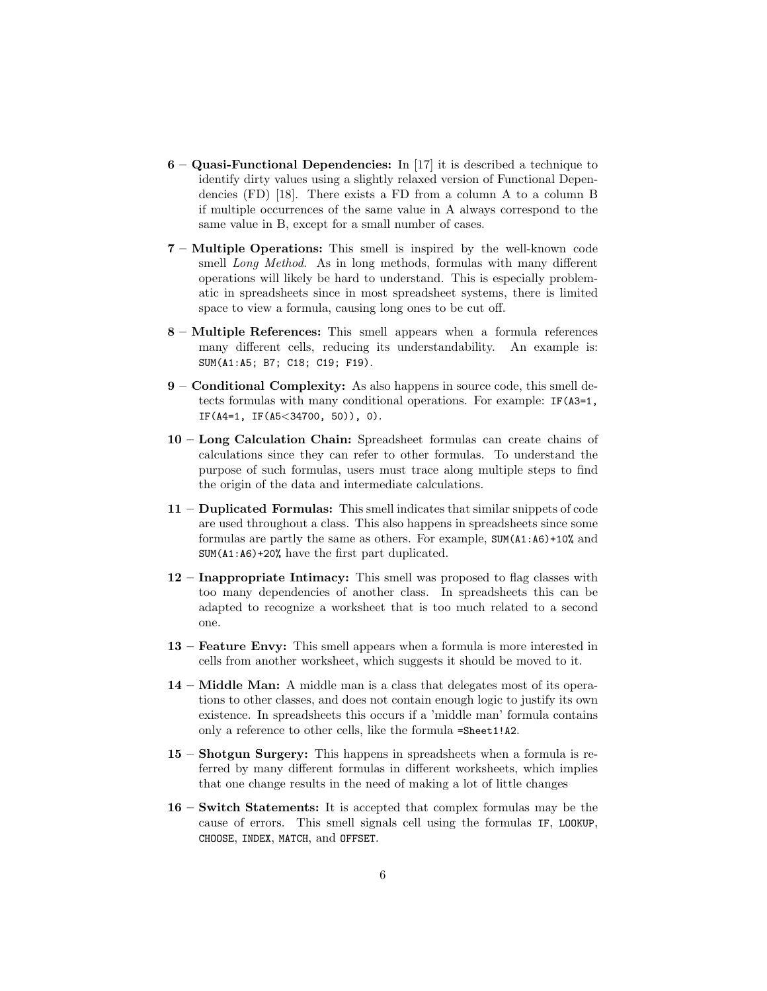- 6 Quasi-Functional Dependencies: In [17] it is described a technique to identify dirty values using a slightly relaxed version of Functional Dependencies (FD) [18]. There exists a FD from a column A to a column B if multiple occurrences of the same value in A always correspond to the same value in B, except for a small number of cases.
- 7 Multiple Operations: This smell is inspired by the well-known code smell Long Method. As in long methods, formulas with many different operations will likely be hard to understand. This is especially problematic in spreadsheets since in most spreadsheet systems, there is limited space to view a formula, causing long ones to be cut off.
- 8 Multiple References: This smell appears when a formula references many different cells, reducing its understandability. An example is: SUM(A1:A5; B7; C18; C19; F19).
- 9 Conditional Complexity: As also happens in source code, this smell detects formulas with many conditional operations. For example: IF(A3=1, IF(A4=1, IF(A5<34700, 50)), 0).
- 10 Long Calculation Chain: Spreadsheet formulas can create chains of calculations since they can refer to other formulas. To understand the purpose of such formulas, users must trace along multiple steps to find the origin of the data and intermediate calculations.
- 11 Duplicated Formulas: This smell indicates that similar snippets of code are used throughout a class. This also happens in spreadsheets since some formulas are partly the same as others. For example, SUM(A1:A6)+10% and SUM(A1:A6)+20% have the first part duplicated.
- 12 Inappropriate Intimacy: This smell was proposed to flag classes with too many dependencies of another class. In spreadsheets this can be adapted to recognize a worksheet that is too much related to a second one.
- 13 Feature Envy: This smell appears when a formula is more interested in cells from another worksheet, which suggests it should be moved to it.
- 14 Middle Man: A middle man is a class that delegates most of its operations to other classes, and does not contain enough logic to justify its own existence. In spreadsheets this occurs if a 'middle man' formula contains only a reference to other cells, like the formula =Sheet1!A2.
- 15 Shotgun Surgery: This happens in spreadsheets when a formula is referred by many different formulas in different worksheets, which implies that one change results in the need of making a lot of little changes
- 16 Switch Statements: It is accepted that complex formulas may be the cause of errors. This smell signals cell using the formulas IF, LOOKUP, CHOOSE, INDEX, MATCH, and OFFSET.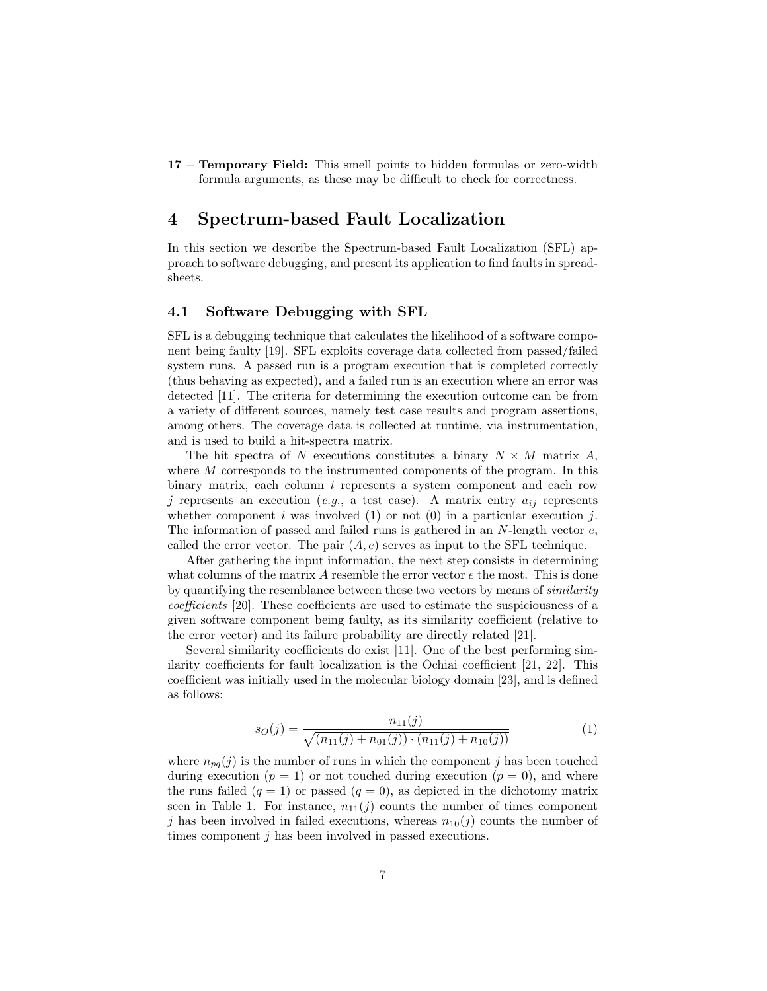17 – Temporary Field: This smell points to hidden formulas or zero-width formula arguments, as these may be difficult to check for correctness.

## 4 Spectrum-based Fault Localization

In this section we describe the Spectrum-based Fault Localization (SFL) approach to software debugging, and present its application to find faults in spreadsheets.

### 4.1 Software Debugging with SFL

SFL is a debugging technique that calculates the likelihood of a software component being faulty [19]. SFL exploits coverage data collected from passed/failed system runs. A passed run is a program execution that is completed correctly (thus behaving as expected), and a failed run is an execution where an error was detected [11]. The criteria for determining the execution outcome can be from a variety of different sources, namely test case results and program assertions, among others. The coverage data is collected at runtime, via instrumentation, and is used to build a hit-spectra matrix.

The hit spectra of N executions constitutes a binary  $N \times M$  matrix A, where M corresponds to the instrumented components of the program. In this binary matrix, each column  $i$  represents a system component and each row j represents an execution (e.g., a test case). A matrix entry  $a_{ij}$  represents whether component i was involved  $(1)$  or not  $(0)$  in a particular execution j. The information of passed and failed runs is gathered in an  $N$ -length vector  $e$ , called the error vector. The pair  $(A, e)$  serves as input to the SFL technique.

After gathering the input information, the next step consists in determining what columns of the matrix A resemble the error vector e the most. This is done by quantifying the resemblance between these two vectors by means of similarity coefficients [20]. These coefficients are used to estimate the suspiciousness of a given software component being faulty, as its similarity coefficient (relative to the error vector) and its failure probability are directly related [21].

Several similarity coefficients do exist [11]. One of the best performing similarity coefficients for fault localization is the Ochiai coefficient [21, 22]. This coefficient was initially used in the molecular biology domain [23], and is defined as follows:

$$
s_O(j) = \frac{n_{11}(j)}{\sqrt{(n_{11}(j) + n_{01}(j)) \cdot (n_{11}(j) + n_{10}(j))}}
$$
(1)

where  $n_{pq}(j)$  is the number of runs in which the component j has been touched during execution  $(p = 1)$  or not touched during execution  $(p = 0)$ , and where the runs failed  $(q = 1)$  or passed  $(q = 0)$ , as depicted in the dichotomy matrix seen in Table 1. For instance,  $n_{11}(j)$  counts the number of times component j has been involved in failed executions, whereas  $n_{10}(j)$  counts the number of times component j has been involved in passed executions.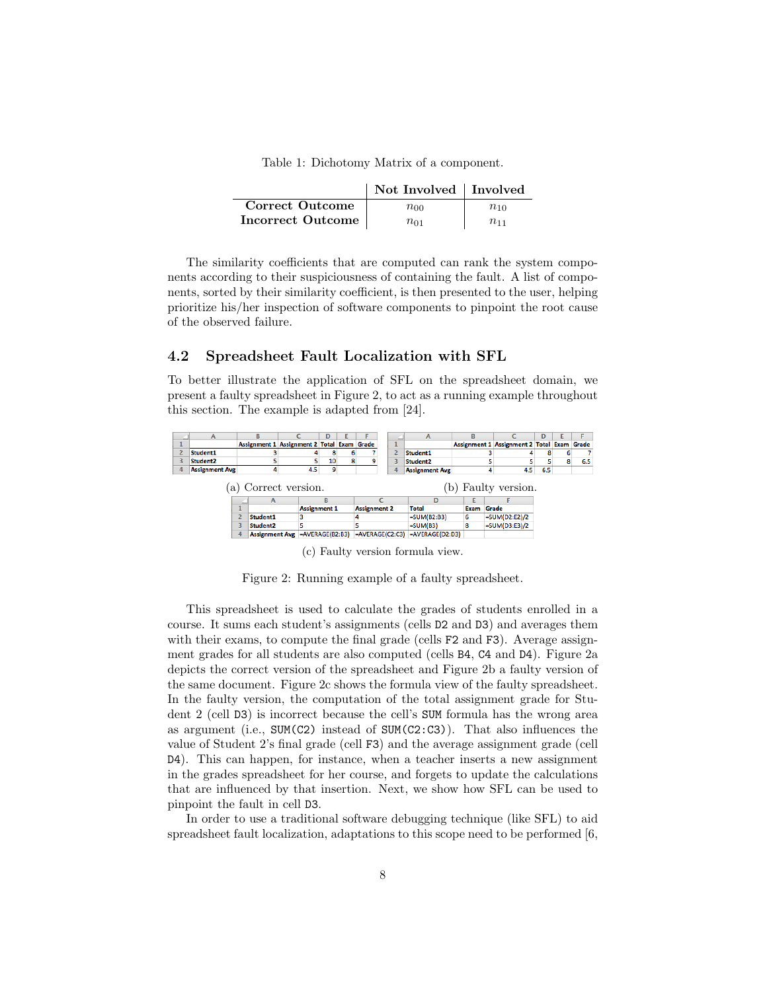Table 1: Dichotomy Matrix of a component.

|                        | Not Involved   Involved |          |
|------------------------|-------------------------|----------|
| <b>Correct Outcome</b> | $n_{00}$                | $n_{10}$ |
| Incorrect Outcome      | $n_{01}$                | $n_{11}$ |

The similarity coefficients that are computed can rank the system components according to their suspiciousness of containing the fault. A list of components, sorted by their similarity coefficient, is then presented to the user, helping prioritize his/her inspection of software components to pinpoint the root cause of the observed failure.

#### 4.2 Spreadsheet Fault Localization with SFL

To better illustrate the application of SFL on the spreadsheet domain, we present a faulty spreadsheet in Figure 2, to act as a running example throughout this section. The example is adapted from [24].



(c) Faulty version formula view.

Figure 2: Running example of a faulty spreadsheet.

This spreadsheet is used to calculate the grades of students enrolled in a course. It sums each student's assignments (cells D2 and D3) and averages them with their exams, to compute the final grade (cells F2 and F3). Average assignment grades for all students are also computed (cells B4, C4 and D4). Figure 2a depicts the correct version of the spreadsheet and Figure 2b a faulty version of the same document. Figure 2c shows the formula view of the faulty spreadsheet. In the faulty version, the computation of the total assignment grade for Student 2 (cell D3) is incorrect because the cell's SUM formula has the wrong area as argument (i.e.,  $SUM(C2)$  instead of  $SUM(C2:C3)$ ). That also influences the value of Student 2's final grade (cell F3) and the average assignment grade (cell D4). This can happen, for instance, when a teacher inserts a new assignment in the grades spreadsheet for her course, and forgets to update the calculations that are influenced by that insertion. Next, we show how SFL can be used to pinpoint the fault in cell D3.

In order to use a traditional software debugging technique (like SFL) to aid spreadsheet fault localization, adaptations to this scope need to be performed [6,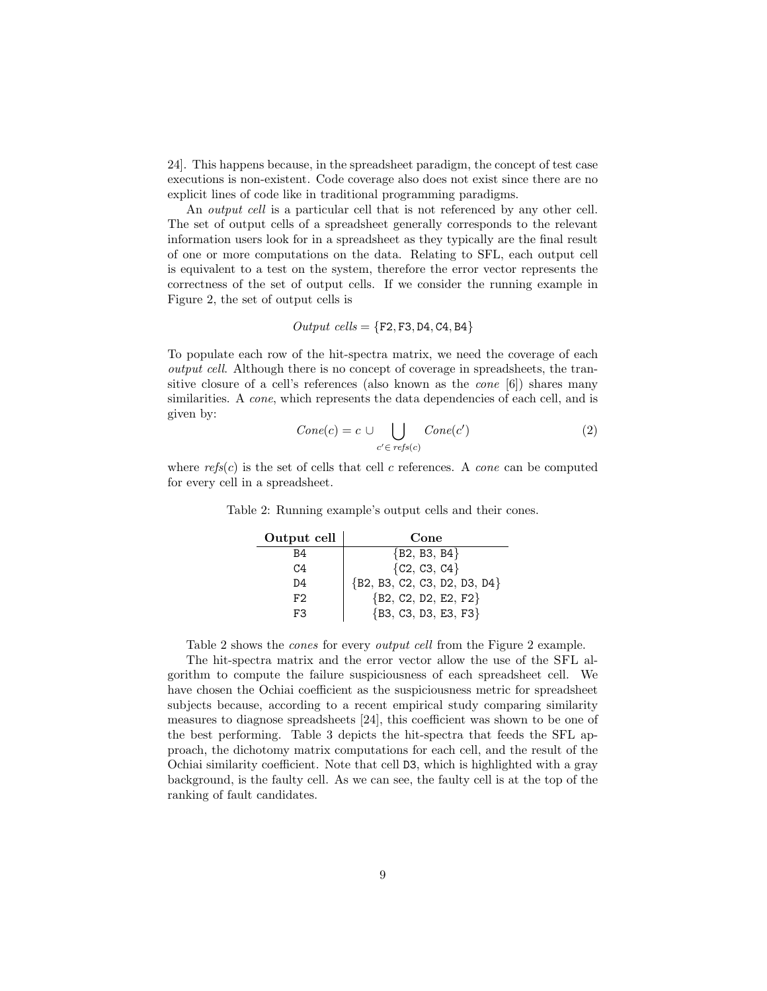24]. This happens because, in the spreadsheet paradigm, the concept of test case executions is non-existent. Code coverage also does not exist since there are no explicit lines of code like in traditional programming paradigms.

An *output cell* is a particular cell that is not referenced by any other cell. The set of output cells of a spreadsheet generally corresponds to the relevant information users look for in a spreadsheet as they typically are the final result of one or more computations on the data. Relating to SFL, each output cell is equivalent to a test on the system, therefore the error vector represents the correctness of the set of output cells. If we consider the running example in Figure 2, the set of output cells is

$$
Output \ cells = \{ \texttt{F2}, \texttt{F3}, \texttt{D4}, \texttt{C4}, \texttt{B4} \}
$$

To populate each row of the hit-spectra matrix, we need the coverage of each output cell. Although there is no concept of coverage in spreadsheets, the transitive closure of a cell's references (also known as the cone [6]) shares many similarities. A *cone*, which represents the data dependencies of each cell, and is given by:

$$
Cone(c) = c \cup \bigcup_{c' \in \text{refs}(c)} \text{Cone}(c') \tag{2}
$$

where  $\text{refs}(c)$  is the set of cells that cell c references. A cone can be computed for every cell in a spreadsheet.

| Output cell | Cone                         |
|-------------|------------------------------|
| B4          | ${B2, B3, B4}$               |
| C4          | ${C2, C3, C4}$               |
| D4          | {B2, B3, C2, C3, D2, D3, D4} |
| F2          | ${B2, C2, D2, E2, F2}$       |
| F3          | ${B3, C3, D3, E3, F3}$       |

Table 2: Running example's output cells and their cones.

Table 2 shows the cones for every output cell from the Figure 2 example.

The hit-spectra matrix and the error vector allow the use of the SFL algorithm to compute the failure suspiciousness of each spreadsheet cell. We have chosen the Ochiai coefficient as the suspiciousness metric for spreadsheet subjects because, according to a recent empirical study comparing similarity measures to diagnose spreadsheets [24], this coefficient was shown to be one of the best performing. Table 3 depicts the hit-spectra that feeds the SFL approach, the dichotomy matrix computations for each cell, and the result of the Ochiai similarity coefficient. Note that cell D3, which is highlighted with a gray background, is the faulty cell. As we can see, the faulty cell is at the top of the ranking of fault candidates.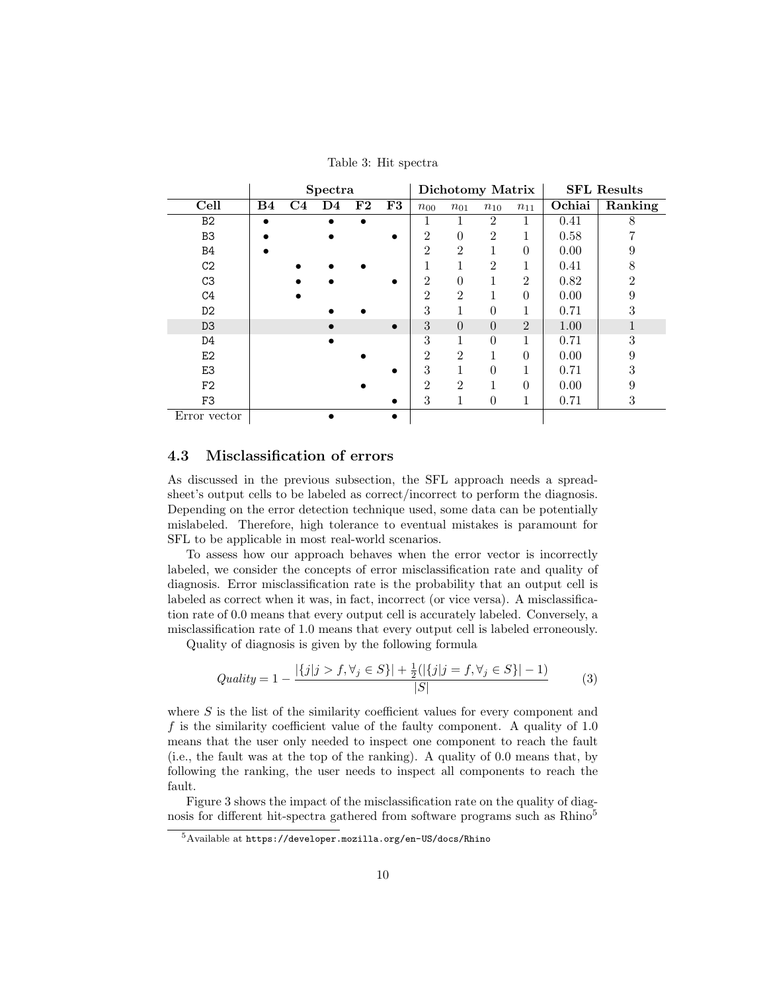Table 3: Hit spectra

|                | Spectra        |    |                |    |           | Dichotomy Matrix |                |                |                | <b>SFL Results</b> |               |  |
|----------------|----------------|----|----------------|----|-----------|------------------|----------------|----------------|----------------|--------------------|---------------|--|
| Cell           | B <sub>4</sub> | C4 | D <sub>4</sub> | F2 | F3        | $n_{00}$         | $n_{01}$       | $n_{10}$       | $n_{11}$       | Ochiai             | Ranking       |  |
| B <sub>2</sub> |                |    |                |    |           | T                |                | $\overline{2}$ |                | 0.41               | 8             |  |
| B <sub>3</sub> |                |    |                |    |           | $\overline{2}$   | 0              | $\mathfrak{D}$ |                | 0.58               |               |  |
| <b>B4</b>      |                |    |                |    |           | $\mathfrak{D}$   | $\overline{2}$ |                | $\theta$       | 0.00               | 9             |  |
| C <sub>2</sub> |                |    |                |    |           |                  |                | $\overline{2}$ | T              | 0.41               | 8             |  |
| C3             |                |    |                |    |           | $\overline{2}$   | 0              |                | $\overline{2}$ | 0.82               | $\mathcal{D}$ |  |
| C <sub>4</sub> |                |    |                |    |           | $\mathfrak{D}$   | $\overline{2}$ |                | $\theta$       | 0.00               | 9             |  |
| D <sub>2</sub> |                |    |                |    |           | 3                |                | 0              | 1              | 0.71               | 3             |  |
| D <sub>3</sub> |                |    |                |    | $\bullet$ | 3                | $\overline{0}$ | $\Omega$       | $\overline{2}$ | 1.00               |               |  |
| D4             |                |    |                |    |           | 3                | 1              | $\Omega$       | 1              | 0.71               | 3             |  |
| E2             |                |    |                |    |           | $\overline{2}$   | $\overline{2}$ |                | $\theta$       | 0.00               | 9             |  |
| E3             |                |    |                |    |           | 3                |                | 0              |                | 0.71               | 3             |  |
| F <sub>2</sub> |                |    |                |    |           | $\mathfrak{D}$   | $\overline{2}$ |                | $\theta$       | 0.00               | 9             |  |
| F3             |                |    |                |    |           | 3                | 1              | $\Omega$       | 1              | 0.71               | 3             |  |
| Error vector   |                |    |                |    |           |                  |                |                |                |                    |               |  |

### 4.3 Misclassification of errors

As discussed in the previous subsection, the SFL approach needs a spreadsheet's output cells to be labeled as correct/incorrect to perform the diagnosis. Depending on the error detection technique used, some data can be potentially mislabeled. Therefore, high tolerance to eventual mistakes is paramount for SFL to be applicable in most real-world scenarios.

To assess how our approach behaves when the error vector is incorrectly labeled, we consider the concepts of error misclassification rate and quality of diagnosis. Error misclassification rate is the probability that an output cell is labeled as correct when it was, in fact, incorrect (or vice versa). A misclassification rate of 0.0 means that every output cell is accurately labeled. Conversely, a misclassification rate of 1.0 means that every output cell is labeled erroneously.

Quality of diagnosis is given by the following formula

$$
Quality = 1 - \frac{|\{j|j > f, \forall j \in S\}| + \frac{1}{2}(|\{j|j = f, \forall j \in S\}| - 1)}{|S|}
$$
(3)

where S is the list of the similarity coefficient values for every component and f is the similarity coefficient value of the faulty component. A quality of 1.0 means that the user only needed to inspect one component to reach the fault (i.e., the fault was at the top of the ranking). A quality of 0.0 means that, by following the ranking, the user needs to inspect all components to reach the fault.

Figure 3 shows the impact of the misclassification rate on the quality of diagnosis for different hit-spectra gathered from software programs such as Rhino<sup>5</sup>

<sup>5</sup>Available at https://developer.mozilla.org/en-US/docs/Rhino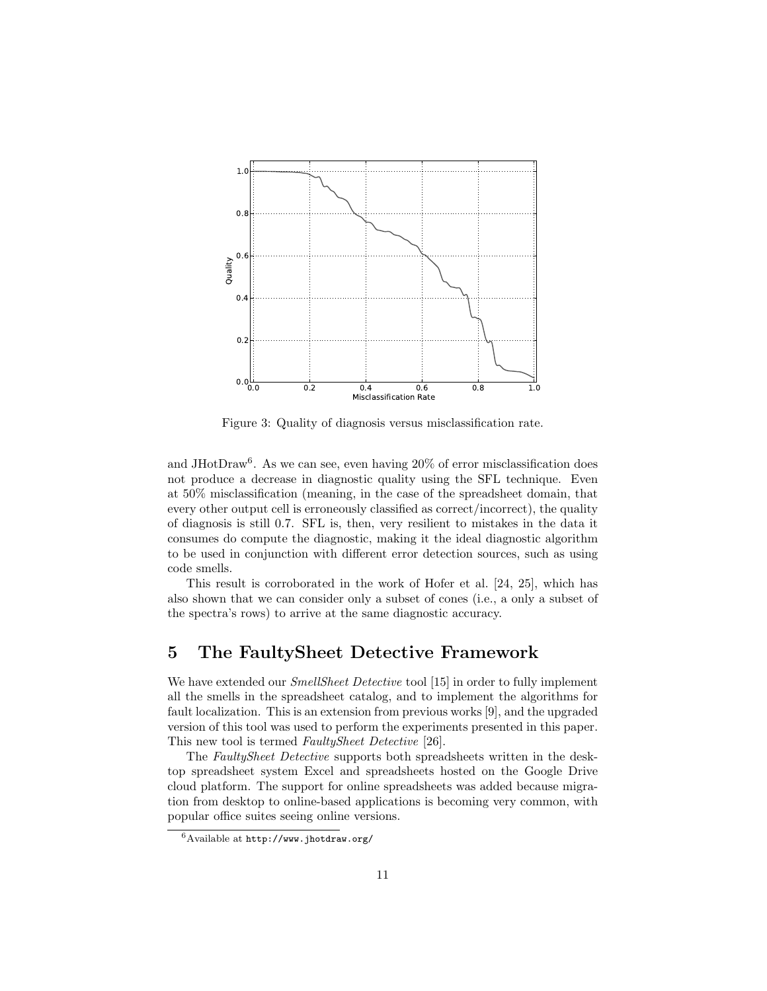

Figure 3: Quality of diagnosis versus misclassification rate.

and JHotDraw<sup>6</sup>. As we can see, even having 20% of error misclassification does not produce a decrease in diagnostic quality using the SFL technique. Even at 50% misclassification (meaning, in the case of the spreadsheet domain, that every other output cell is erroneously classified as correct/incorrect), the quality of diagnosis is still 0.7. SFL is, then, very resilient to mistakes in the data it consumes do compute the diagnostic, making it the ideal diagnostic algorithm to be used in conjunction with different error detection sources, such as using code smells.

This result is corroborated in the work of Hofer et al. [24, 25], which has also shown that we can consider only a subset of cones (i.e., a only a subset of the spectra's rows) to arrive at the same diagnostic accuracy.

## 5 The FaultySheet Detective Framework

We have extended our *SmellSheet Detective* tool [15] in order to fully implement all the smells in the spreadsheet catalog, and to implement the algorithms for fault localization. This is an extension from previous works [9], and the upgraded version of this tool was used to perform the experiments presented in this paper. This new tool is termed FaultySheet Detective [26].

The FaultySheet Detective supports both spreadsheets written in the desktop spreadsheet system Excel and spreadsheets hosted on the Google Drive cloud platform. The support for online spreadsheets was added because migration from desktop to online-based applications is becoming very common, with popular office suites seeing online versions.

<sup>6</sup>Available at http://www.jhotdraw.org/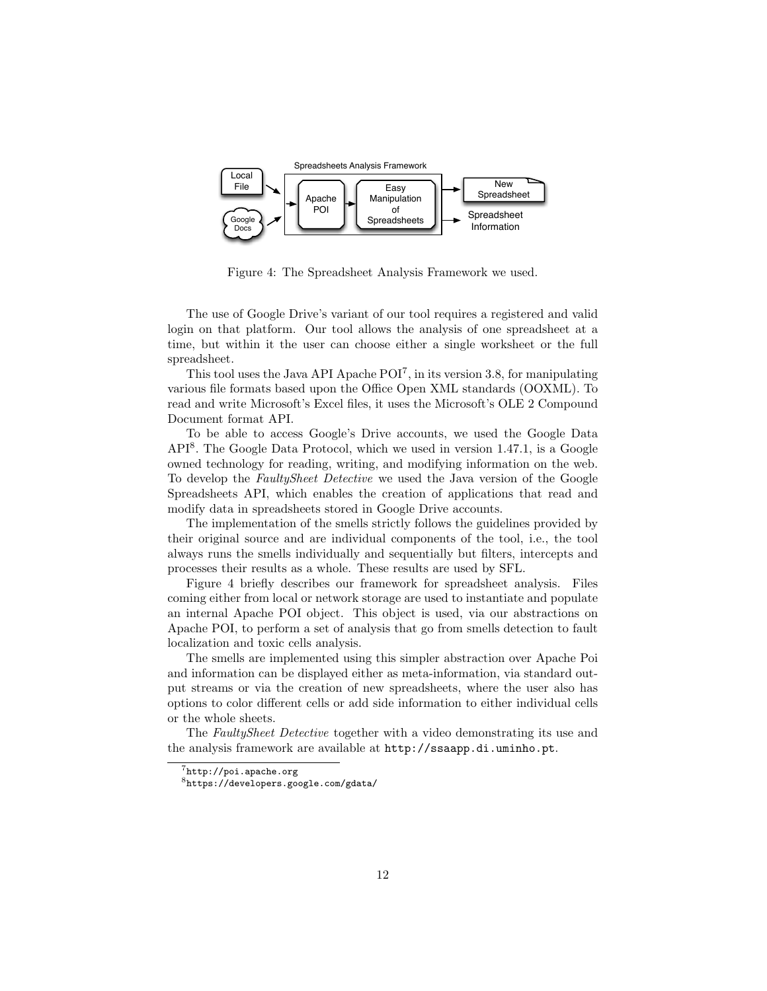

Figure 4: The Spreadsheet Analysis Framework we used.

The use of Google Drive's variant of our tool requires a registered and valid login on that platform. Our tool allows the analysis of one spreadsheet at a time, but within it the user can choose either a single worksheet or the full spreadsheet.

This tool uses the Java API Apache  $POI<sup>7</sup>$ , in its version 3.8, for manipulating various file formats based upon the Office Open XML standards (OOXML). To read and write Microsoft's Excel files, it uses the Microsoft's OLE 2 Compound Document format API.

To be able to access Google's Drive accounts, we used the Google Data API<sup>8</sup> . The Google Data Protocol, which we used in version 1.47.1, is a Google owned technology for reading, writing, and modifying information on the web. To develop the FaultySheet Detective we used the Java version of the Google Spreadsheets API, which enables the creation of applications that read and modify data in spreadsheets stored in Google Drive accounts.

The implementation of the smells strictly follows the guidelines provided by their original source and are individual components of the tool, i.e., the tool always runs the smells individually and sequentially but filters, intercepts and processes their results as a whole. These results are used by SFL.

Figure 4 briefly describes our framework for spreadsheet analysis. Files coming either from local or network storage are used to instantiate and populate an internal Apache POI object. This object is used, via our abstractions on Apache POI, to perform a set of analysis that go from smells detection to fault localization and toxic cells analysis.

The smells are implemented using this simpler abstraction over Apache Poi and information can be displayed either as meta-information, via standard output streams or via the creation of new spreadsheets, where the user also has options to color different cells or add side information to either individual cells or the whole sheets.

The FaultySheet Detective together with a video demonstrating its use and the analysis framework are available at http://ssaapp.di.uminho.pt.

 $7$ http://poi.apache.org

<sup>8</sup>https://developers.google.com/gdata/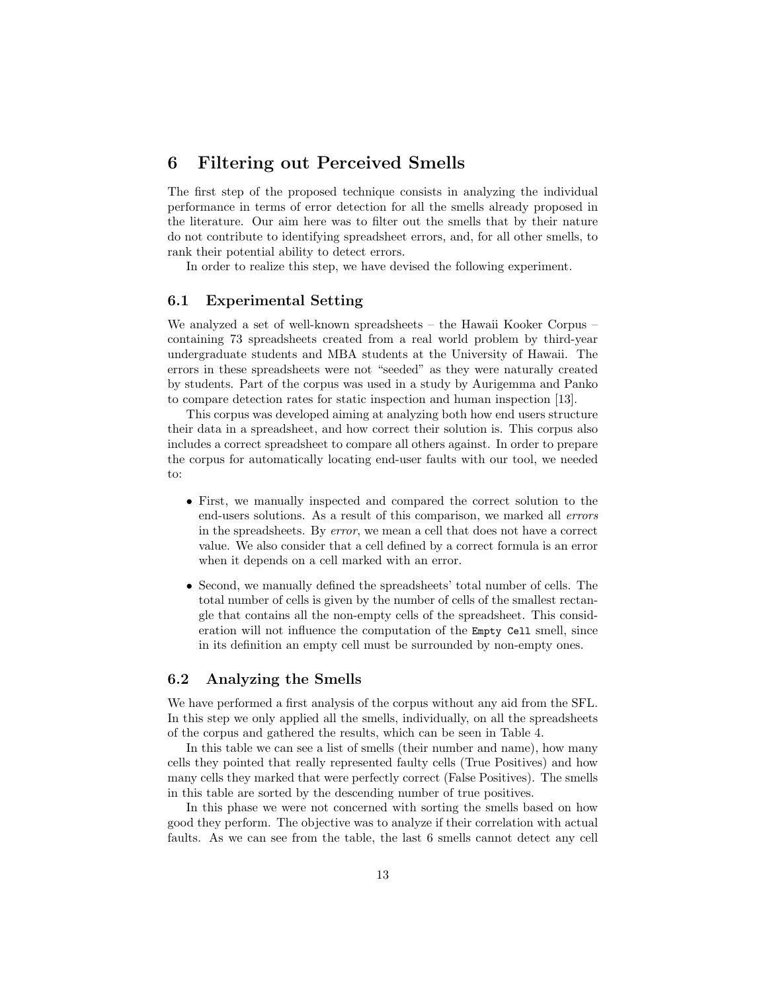### 6 Filtering out Perceived Smells

The first step of the proposed technique consists in analyzing the individual performance in terms of error detection for all the smells already proposed in the literature. Our aim here was to filter out the smells that by their nature do not contribute to identifying spreadsheet errors, and, for all other smells, to rank their potential ability to detect errors.

In order to realize this step, we have devised the following experiment.

### 6.1 Experimental Setting

We analyzed a set of well-known spreadsheets – the Hawaii Kooker Corpus – containing 73 spreadsheets created from a real world problem by third-year undergraduate students and MBA students at the University of Hawaii. The errors in these spreadsheets were not "seeded" as they were naturally created by students. Part of the corpus was used in a study by Aurigemma and Panko to compare detection rates for static inspection and human inspection [13].

This corpus was developed aiming at analyzing both how end users structure their data in a spreadsheet, and how correct their solution is. This corpus also includes a correct spreadsheet to compare all others against. In order to prepare the corpus for automatically locating end-user faults with our tool, we needed to:

- First, we manually inspected and compared the correct solution to the end-users solutions. As a result of this comparison, we marked all errors in the spreadsheets. By error, we mean a cell that does not have a correct value. We also consider that a cell defined by a correct formula is an error when it depends on a cell marked with an error.
- Second, we manually defined the spreadsheets' total number of cells. The total number of cells is given by the number of cells of the smallest rectangle that contains all the non-empty cells of the spreadsheet. This consideration will not influence the computation of the Empty Cell smell, since in its definition an empty cell must be surrounded by non-empty ones.

### 6.2 Analyzing the Smells

We have performed a first analysis of the corpus without any aid from the SFL. In this step we only applied all the smells, individually, on all the spreadsheets of the corpus and gathered the results, which can be seen in Table 4.

In this table we can see a list of smells (their number and name), how many cells they pointed that really represented faulty cells (True Positives) and how many cells they marked that were perfectly correct (False Positives). The smells in this table are sorted by the descending number of true positives.

In this phase we were not concerned with sorting the smells based on how good they perform. The objective was to analyze if their correlation with actual faults. As we can see from the table, the last 6 smells cannot detect any cell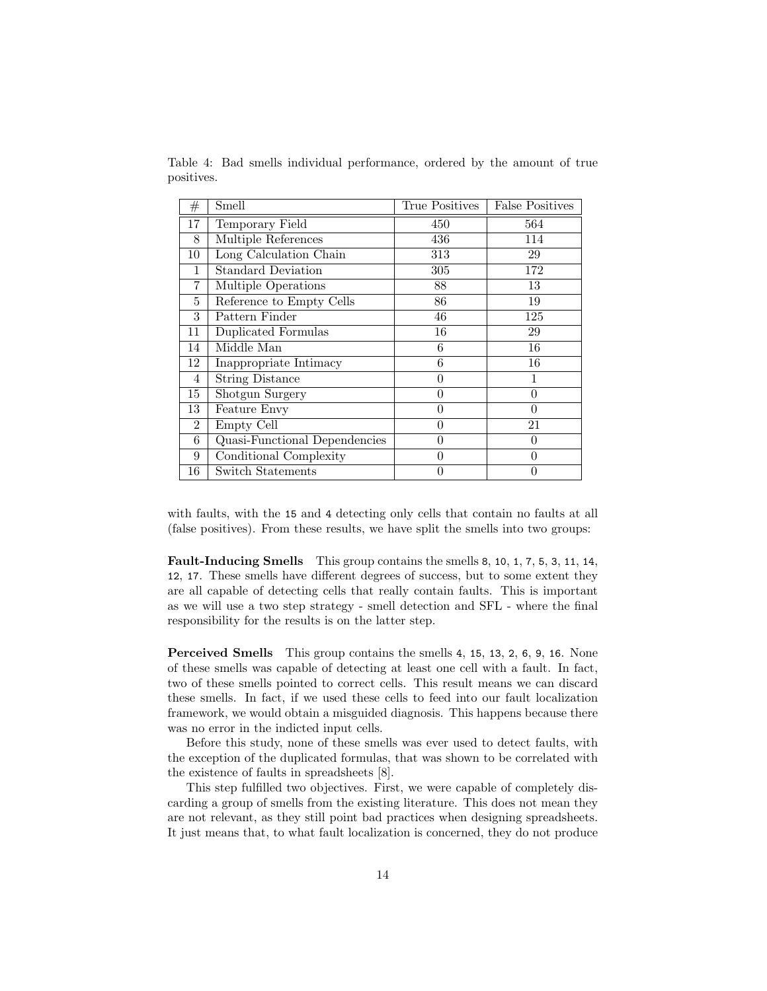|            |  | Table 4: Bad smells individual performance, ordered by the amount of true |  |  |  |
|------------|--|---------------------------------------------------------------------------|--|--|--|
| positives. |  |                                                                           |  |  |  |

| #  | Smell                         | True Positives | <b>False Positives</b> |
|----|-------------------------------|----------------|------------------------|
| 17 | Temporary Field               | 450            | 564                    |
| 8  | Multiple References           | 436            | 114                    |
| 10 | Long Calculation Chain        | 313            | 29                     |
| 1  | <b>Standard Deviation</b>     | 305            | 172                    |
| 7  | Multiple Operations           | 88             | 13                     |
| 5  | Reference to Empty Cells      | 86             | 19                     |
| 3  | Pattern Finder                | 46             | 125                    |
| 11 | Duplicated Formulas           | 16             | 29                     |
| 14 | Middle Man                    | 6              | 16                     |
| 12 | Inappropriate Intimacy        | 6              | 16                     |
| 4  | <b>String Distance</b>        | $\overline{0}$ | 1                      |
| 15 | Shotgun Surgery               | $\theta$       | $\theta$               |
| 13 | Feature Envy                  | $\overline{0}$ | $\theta$               |
| 2  | Empty Cell                    | $\overline{0}$ | 21                     |
| 6  | Quasi-Functional Dependencies | $\overline{0}$ | $\theta$               |
| 9  | Conditional Complexity        | $\theta$       | 0                      |
| 16 | Switch Statements             | $\theta$       | 0                      |

with faults, with the 15 and 4 detecting only cells that contain no faults at all (false positives). From these results, we have split the smells into two groups:

Fault-Inducing Smells This group contains the smells 8, 10, 1, 7, 5, 3, 11, 14, 12, 17. These smells have different degrees of success, but to some extent they are all capable of detecting cells that really contain faults. This is important as we will use a two step strategy - smell detection and SFL - where the final responsibility for the results is on the latter step.

Perceived Smells This group contains the smells 4, 15, 13, 2, 6, 9, 16. None of these smells was capable of detecting at least one cell with a fault. In fact, two of these smells pointed to correct cells. This result means we can discard these smells. In fact, if we used these cells to feed into our fault localization framework, we would obtain a misguided diagnosis. This happens because there was no error in the indicted input cells.

Before this study, none of these smells was ever used to detect faults, with the exception of the duplicated formulas, that was shown to be correlated with the existence of faults in spreadsheets [8].

This step fulfilled two objectives. First, we were capable of completely discarding a group of smells from the existing literature. This does not mean they are not relevant, as they still point bad practices when designing spreadsheets. It just means that, to what fault localization is concerned, they do not produce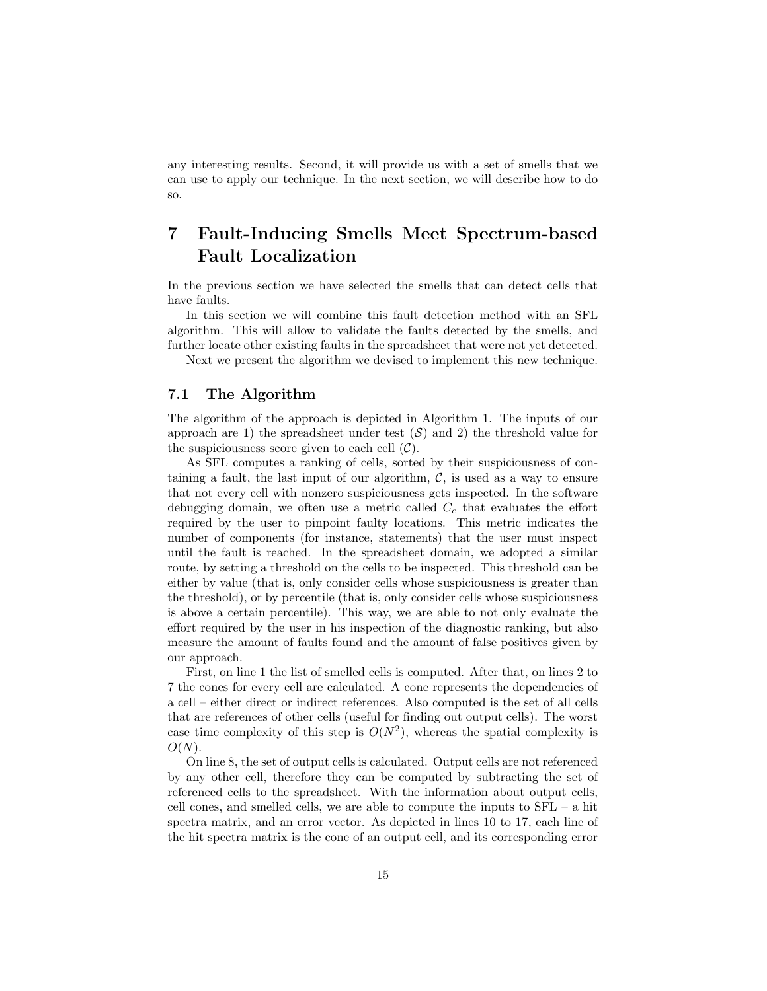any interesting results. Second, it will provide us with a set of smells that we can use to apply our technique. In the next section, we will describe how to do so.

## 7 Fault-Inducing Smells Meet Spectrum-based Fault Localization

In the previous section we have selected the smells that can detect cells that have faults.

In this section we will combine this fault detection method with an SFL algorithm. This will allow to validate the faults detected by the smells, and further locate other existing faults in the spreadsheet that were not yet detected.

Next we present the algorithm we devised to implement this new technique.

### 7.1 The Algorithm

The algorithm of the approach is depicted in Algorithm 1. The inputs of our approach are 1) the spreadsheet under test  $(S)$  and 2) the threshold value for the suspiciousness score given to each cell  $(\mathcal{C})$ .

As SFL computes a ranking of cells, sorted by their suspiciousness of containing a fault, the last input of our algorithm,  $\mathcal{C}$ , is used as a way to ensure that not every cell with nonzero suspiciousness gets inspected. In the software debugging domain, we often use a metric called  $C_e$  that evaluates the effort required by the user to pinpoint faulty locations. This metric indicates the number of components (for instance, statements) that the user must inspect until the fault is reached. In the spreadsheet domain, we adopted a similar route, by setting a threshold on the cells to be inspected. This threshold can be either by value (that is, only consider cells whose suspiciousness is greater than the threshold), or by percentile (that is, only consider cells whose suspiciousness is above a certain percentile). This way, we are able to not only evaluate the effort required by the user in his inspection of the diagnostic ranking, but also measure the amount of faults found and the amount of false positives given by our approach.

First, on line 1 the list of smelled cells is computed. After that, on lines 2 to 7 the cones for every cell are calculated. A cone represents the dependencies of a cell – either direct or indirect references. Also computed is the set of all cells that are references of other cells (useful for finding out output cells). The worst case time complexity of this step is  $O(N^2)$ , whereas the spatial complexity is  $O(N)$ .

On line 8, the set of output cells is calculated. Output cells are not referenced by any other cell, therefore they can be computed by subtracting the set of referenced cells to the spreadsheet. With the information about output cells, cell cones, and smelled cells, we are able to compute the inputs to SFL – a hit spectra matrix, and an error vector. As depicted in lines 10 to 17, each line of the hit spectra matrix is the cone of an output cell, and its corresponding error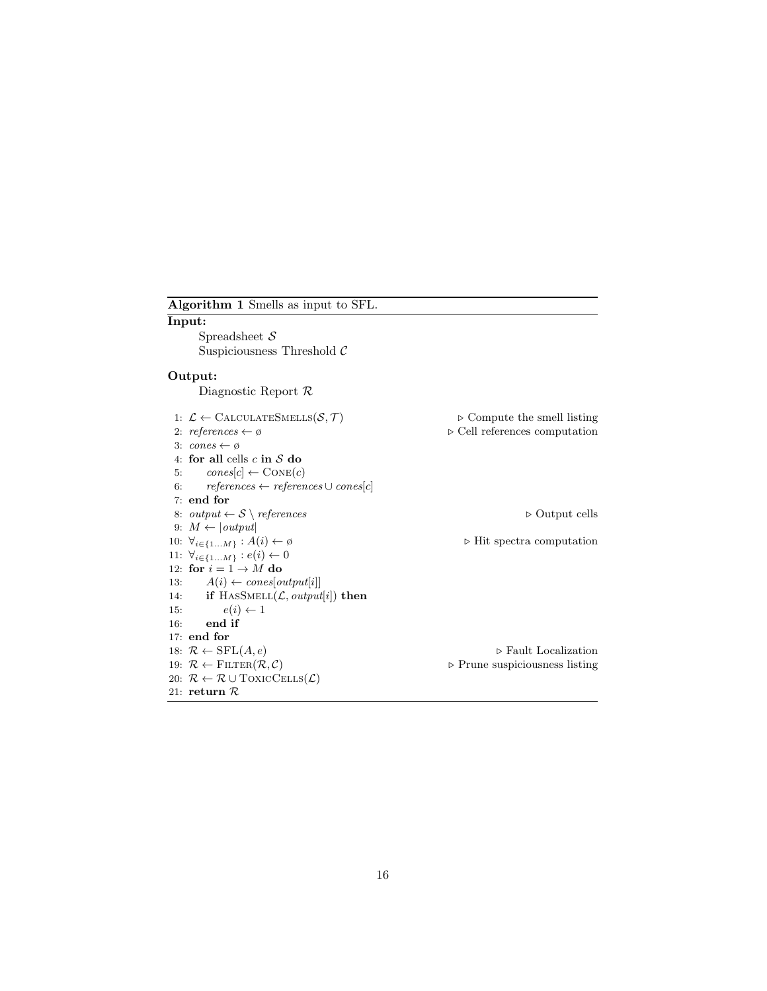| Algorithm 1 Smells as input to SFL.                                          |                                               |
|------------------------------------------------------------------------------|-----------------------------------------------|
| Input:                                                                       |                                               |
| Spreadsheet $S$                                                              |                                               |
| Suspiciousness Threshold $\mathcal C$                                        |                                               |
| Output:                                                                      |                                               |
| Diagnostic Report $\mathcal R$                                               |                                               |
| 1: $\mathcal{L} \leftarrow$ CALCULATESMELLS( $\mathcal{S}, \mathcal{T}$ )    | $\triangleright$ Compute the smell listing    |
| 2: references $\leftarrow \emptyset$                                         | $\triangleright$ Cell references computation  |
| 3: $cones \leftarrow \emptyset$                                              |                                               |
| 4: for all cells $c$ in $S$ do                                               |                                               |
| $cones[c] \leftarrow CONE(c)$<br>5.                                          |                                               |
| $references \leftarrow references \cup cones[c]$<br>6:                       |                                               |
| $7:$ end for                                                                 |                                               |
| 8: output $\leftarrow$ S \ references                                        | $\triangleright$ Output cells                 |
| 9: $M \leftarrow  output $                                                   |                                               |
| 10: $\forall_{i \in \{1M\}} : A(i) \leftarrow \emptyset$                     | $\triangleright$ Hit spectra computation      |
| 11: $\forall_{i \in \{1M\}} : e(i) \leftarrow 0$                             |                                               |
| 12: for $i = 1 \rightarrow M$ do                                             |                                               |
| $A(i) \leftarrow cones[output[i]]$<br>13:                                    |                                               |
| 14: if HASSMELL $(L, output[i])$ then                                        |                                               |
| $e(i) \leftarrow 1$<br>15:                                                   |                                               |
| end if<br>16:                                                                |                                               |
| $17:$ end for                                                                |                                               |
| 18: $\mathcal{R} \leftarrow \text{SFL}(A, e)$                                | $\triangleright$ Fault Localization           |
| 19: $\mathcal{R} \leftarrow$ FILTER $(\mathcal{R}, \mathcal{C})$             | $\triangleright$ Prune suspiciousness listing |
| 20: $\mathcal{R} \leftarrow \mathcal{R} \cup \text{ToxicCELLS}(\mathcal{L})$ |                                               |
| 21: return $\mathcal R$                                                      |                                               |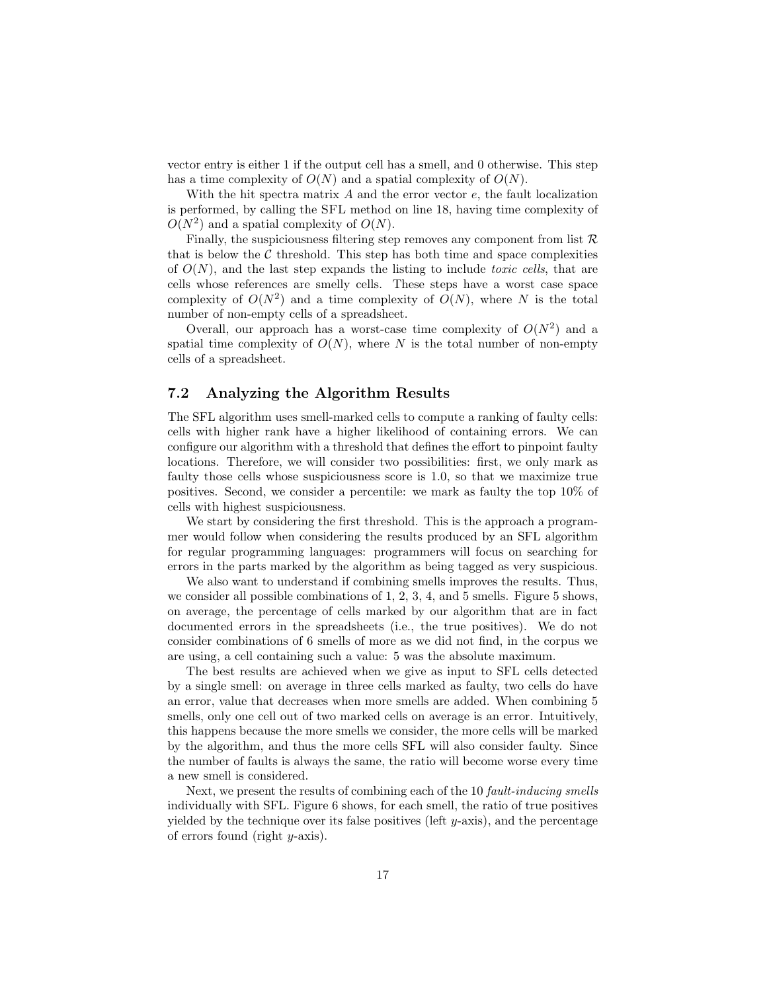vector entry is either 1 if the output cell has a smell, and 0 otherwise. This step has a time complexity of  $O(N)$  and a spatial complexity of  $O(N)$ .

With the hit spectra matrix  $A$  and the error vector  $e$ , the fault localization is performed, by calling the SFL method on line 18, having time complexity of  $O(N^2)$  and a spatial complexity of  $O(N)$ .

Finally, the suspiciousness filtering step removes any component from list  $\mathcal R$ that is below the  $\mathcal C$  threshold. This step has both time and space complexities of  $O(N)$ , and the last step expands the listing to include *toxic cells*, that are cells whose references are smelly cells. These steps have a worst case space complexity of  $O(N^2)$  and a time complexity of  $O(N)$ , where N is the total number of non-empty cells of a spreadsheet.

Overall, our approach has a worst-case time complexity of  $O(N^2)$  and a spatial time complexity of  $O(N)$ , where N is the total number of non-empty cells of a spreadsheet.

### 7.2 Analyzing the Algorithm Results

The SFL algorithm uses smell-marked cells to compute a ranking of faulty cells: cells with higher rank have a higher likelihood of containing errors. We can configure our algorithm with a threshold that defines the effort to pinpoint faulty locations. Therefore, we will consider two possibilities: first, we only mark as faulty those cells whose suspiciousness score is 1.0, so that we maximize true positives. Second, we consider a percentile: we mark as faulty the top 10% of cells with highest suspiciousness.

We start by considering the first threshold. This is the approach a programmer would follow when considering the results produced by an SFL algorithm for regular programming languages: programmers will focus on searching for errors in the parts marked by the algorithm as being tagged as very suspicious.

We also want to understand if combining smells improves the results. Thus, we consider all possible combinations of 1, 2, 3, 4, and 5 smells. Figure 5 shows, on average, the percentage of cells marked by our algorithm that are in fact documented errors in the spreadsheets (i.e., the true positives). We do not consider combinations of 6 smells of more as we did not find, in the corpus we are using, a cell containing such a value: 5 was the absolute maximum.

The best results are achieved when we give as input to SFL cells detected by a single smell: on average in three cells marked as faulty, two cells do have an error, value that decreases when more smells are added. When combining 5 smells, only one cell out of two marked cells on average is an error. Intuitively, this happens because the more smells we consider, the more cells will be marked by the algorithm, and thus the more cells SFL will also consider faulty. Since the number of faults is always the same, the ratio will become worse every time a new smell is considered.

Next, we present the results of combining each of the 10 fault-inducing smells individually with SFL. Figure 6 shows, for each smell, the ratio of true positives yielded by the technique over its false positives (left  $y$ -axis), and the percentage of errors found (right  $y$ -axis).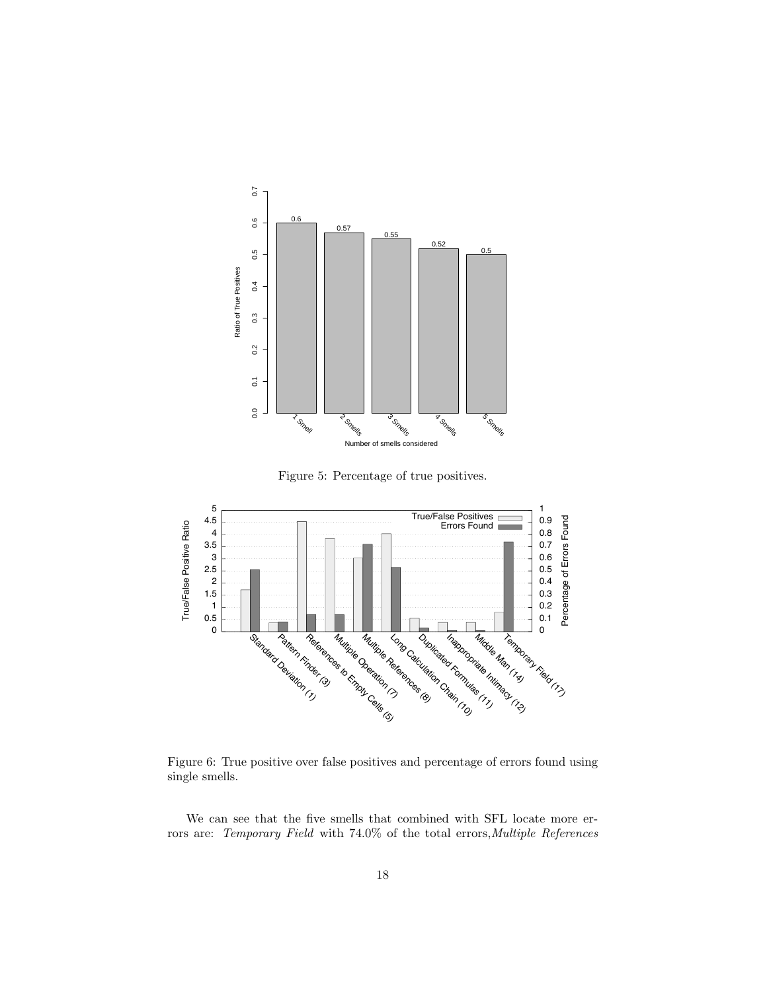

Figure 5: Percentage of true positives.



Figure 6: True positive over false positives and percentage of errors found using single smells.

We can see that the five smells that combined with SFL locate more errors are: Temporary Field with 74.0% of the total errors, Multiple References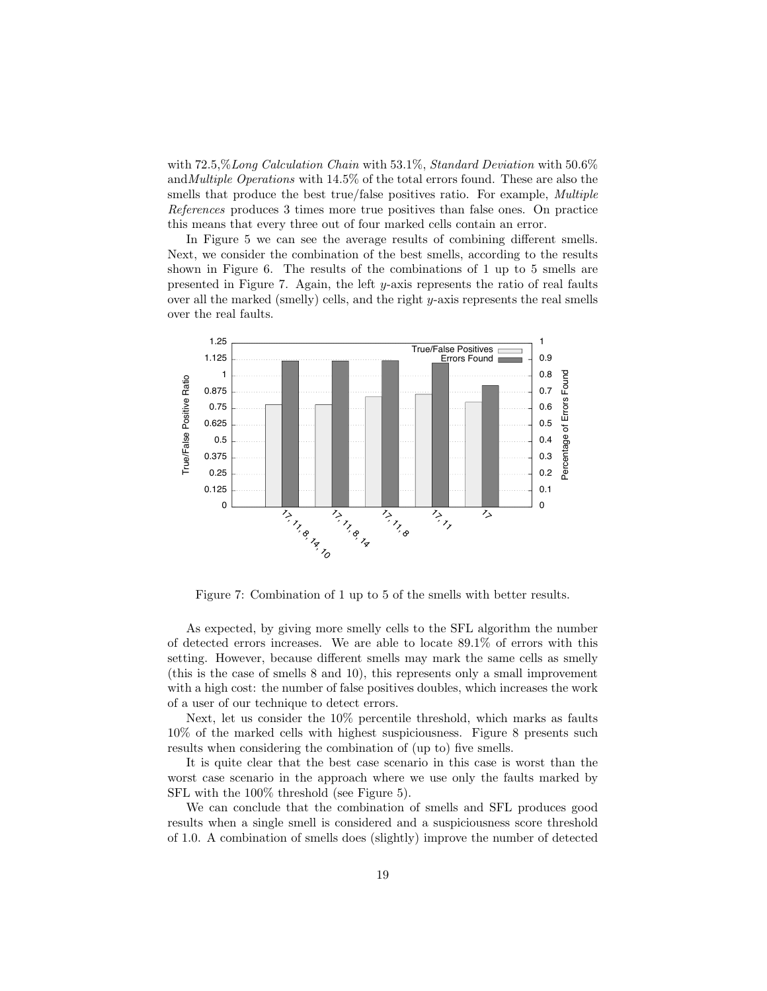with  $72.5\% Long\ Calculation\ Chain\ With\ 53.1\%$ , Standard Deviation with 50.6% and *Multiple Operations* with  $14.5\%$  of the total errors found. These are also the smells that produce the best true/false positives ratio. For example, *Multiple References* produces 3 times more true positives than false ones. On practice this means that every three out of four marked cells contain an error.

In Figure 5 we can see the average results of combining different smells. Next, we consider the combination of the best smells, according to the results shown in Figure 6. The results of the combinations of  $1$  up to  $5$  smells are presented in Figure 7. Again, the left y-axis represents the ratio of real faults over all the marked (smelly) cells, and the right  $y$ -axis represents the real smells over the real faults.



Figure 7: Combination of 1 up to 5 of the smells with better results.

As expected, by giving more smelly cells to the SFL algorithm the number of detected errors increases. We are able to locate  $89.1\%$  of errors with this setting. However, because different smells may mark the same cells as smelly (this is the case of smells  $8$  and  $10$ ), this represents only a small improvement with a high cost: the number of false positives doubles, which increases the work of a user of our technique to detect errors.

Next, let us consider the 10% percentile threshold, which marks as faults  $10\%$  of the marked cells with highest suspiciousness. Figure 8 presents such results when considering the combination of (up to) five smells.

It is quite clear that the best case scenario in this case is worst than the worst case scenario in the approach where we use only the faults marked by SFL with the  $100\%$  threshold (see Figure 5).

We can conclude that the combination of smells and SFL produces good results when a single smell is considered and a suspiciousness score threshold of 1.0. A combination of smells does (slightly) improve the number of detected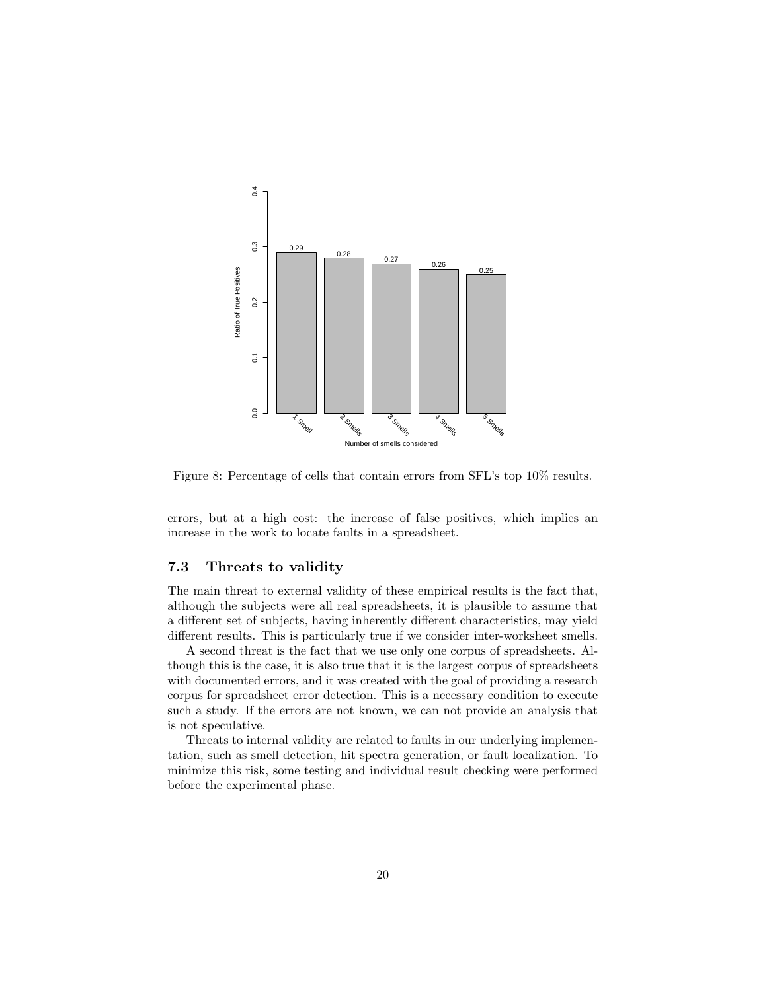

Figure 8: Percentage of cells that contain errors from SFL's top 10% results.

errors, but at a high cost: the increase of false positives, which implies an increase in the work to locate faults in a spreadsheet.

### 7.3 Threats to validity

The main threat to external validity of these empirical results is the fact that, although the subjects were all real spreadsheets, it is plausible to assume that a different set of subjects, having inherently different characteristics, may yield different results. This is particularly true if we consider inter-worksheet smells.

A second threat is the fact that we use only one corpus of spreadsheets. Although this is the case, it is also true that it is the largest corpus of spreadsheets with documented errors, and it was created with the goal of providing a research corpus for spreadsheet error detection. This is a necessary condition to execute such a study. If the errors are not known, we can not provide an analysis that is not speculative.

Threats to internal validity are related to faults in our underlying implementation, such as smell detection, hit spectra generation, or fault localization. To minimize this risk, some testing and individual result checking were performed before the experimental phase.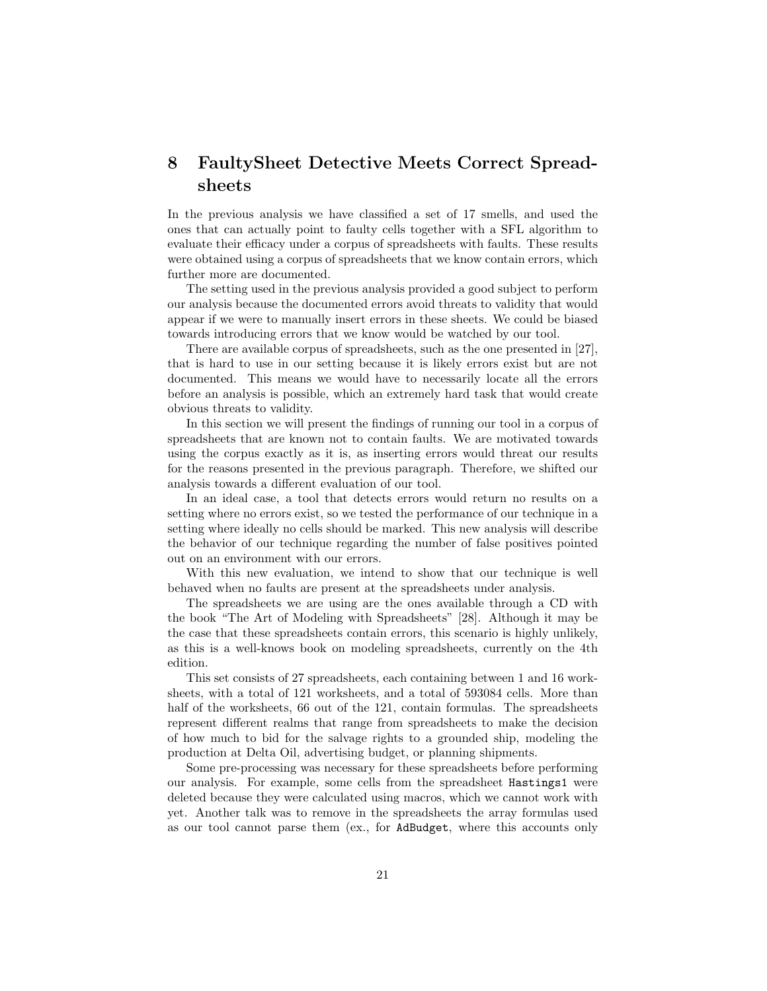## 8 FaultySheet Detective Meets Correct Spreadsheets

In the previous analysis we have classified a set of 17 smells, and used the ones that can actually point to faulty cells together with a SFL algorithm to evaluate their efficacy under a corpus of spreadsheets with faults. These results were obtained using a corpus of spreadsheets that we know contain errors, which further more are documented.

The setting used in the previous analysis provided a good subject to perform our analysis because the documented errors avoid threats to validity that would appear if we were to manually insert errors in these sheets. We could be biased towards introducing errors that we know would be watched by our tool.

There are available corpus of spreadsheets, such as the one presented in [27], that is hard to use in our setting because it is likely errors exist but are not documented. This means we would have to necessarily locate all the errors before an analysis is possible, which an extremely hard task that would create obvious threats to validity.

In this section we will present the findings of running our tool in a corpus of spreadsheets that are known not to contain faults. We are motivated towards using the corpus exactly as it is, as inserting errors would threat our results for the reasons presented in the previous paragraph. Therefore, we shifted our analysis towards a different evaluation of our tool.

In an ideal case, a tool that detects errors would return no results on a setting where no errors exist, so we tested the performance of our technique in a setting where ideally no cells should be marked. This new analysis will describe the behavior of our technique regarding the number of false positives pointed out on an environment with our errors.

With this new evaluation, we intend to show that our technique is well behaved when no faults are present at the spreadsheets under analysis.

The spreadsheets we are using are the ones available through a CD with the book "The Art of Modeling with Spreadsheets" [28]. Although it may be the case that these spreadsheets contain errors, this scenario is highly unlikely, as this is a well-knows book on modeling spreadsheets, currently on the 4th edition.

This set consists of 27 spreadsheets, each containing between 1 and 16 worksheets, with a total of 121 worksheets, and a total of 593084 cells. More than half of the worksheets, 66 out of the 121, contain formulas. The spreadsheets represent different realms that range from spreadsheets to make the decision of how much to bid for the salvage rights to a grounded ship, modeling the production at Delta Oil, advertising budget, or planning shipments.

Some pre-processing was necessary for these spreadsheets before performing our analysis. For example, some cells from the spreadsheet Hastings1 were deleted because they were calculated using macros, which we cannot work with yet. Another talk was to remove in the spreadsheets the array formulas used as our tool cannot parse them (ex., for AdBudget, where this accounts only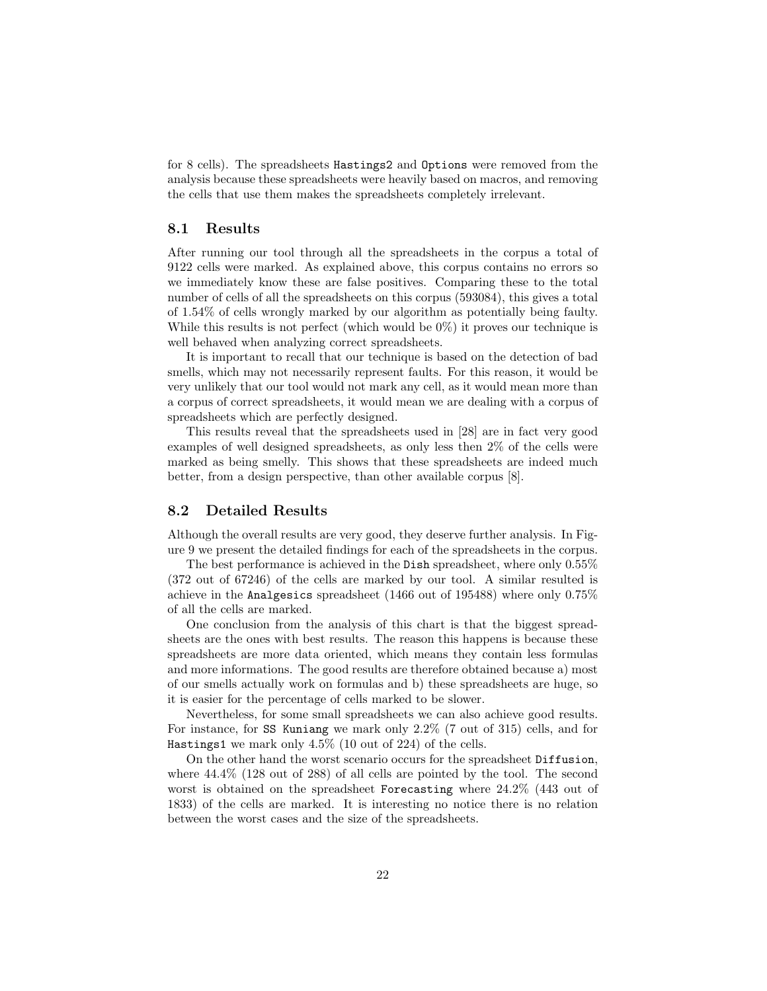for 8 cells). The spreadsheets Hastings2 and Options were removed from the analysis because these spreadsheets were heavily based on macros, and removing the cells that use them makes the spreadsheets completely irrelevant.

#### 8.1 Results

After running our tool through all the spreadsheets in the corpus a total of 9122 cells were marked. As explained above, this corpus contains no errors so we immediately know these are false positives. Comparing these to the total number of cells of all the spreadsheets on this corpus (593084), this gives a total of 1.54% of cells wrongly marked by our algorithm as potentially being faulty. While this results is not perfect (which would be 0%) it proves our technique is well behaved when analyzing correct spreadsheets.

It is important to recall that our technique is based on the detection of bad smells, which may not necessarily represent faults. For this reason, it would be very unlikely that our tool would not mark any cell, as it would mean more than a corpus of correct spreadsheets, it would mean we are dealing with a corpus of spreadsheets which are perfectly designed.

This results reveal that the spreadsheets used in [28] are in fact very good examples of well designed spreadsheets, as only less then 2% of the cells were marked as being smelly. This shows that these spreadsheets are indeed much better, from a design perspective, than other available corpus [8].

### 8.2 Detailed Results

Although the overall results are very good, they deserve further analysis. In Figure 9 we present the detailed findings for each of the spreadsheets in the corpus.

The best performance is achieved in the Dish spreadsheet, where only 0.55% (372 out of 67246) of the cells are marked by our tool. A similar resulted is achieve in the Analgesics spreadsheet (1466 out of 195488) where only 0.75% of all the cells are marked.

One conclusion from the analysis of this chart is that the biggest spreadsheets are the ones with best results. The reason this happens is because these spreadsheets are more data oriented, which means they contain less formulas and more informations. The good results are therefore obtained because a) most of our smells actually work on formulas and b) these spreadsheets are huge, so it is easier for the percentage of cells marked to be slower.

Nevertheless, for some small spreadsheets we can also achieve good results. For instance, for SS Kuniang we mark only 2.2% (7 out of 315) cells, and for Hastings1 we mark only 4.5% (10 out of 224) of the cells.

On the other hand the worst scenario occurs for the spreadsheet Diffusion, where 44.4% (128 out of 288) of all cells are pointed by the tool. The second worst is obtained on the spreadsheet Forecasting where 24.2% (443 out of 1833) of the cells are marked. It is interesting no notice there is no relation between the worst cases and the size of the spreadsheets.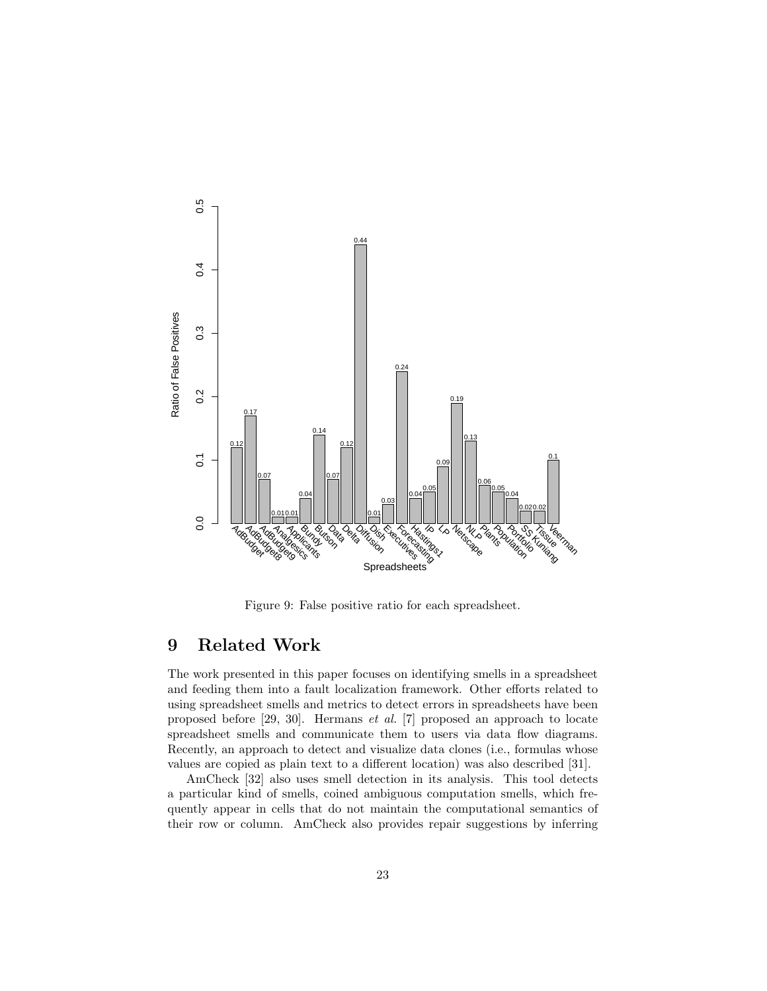

Figure 9: False positive ratio for each spreadsheet.

## 9 Related Work

The work presented in this paper focuses on identifying smells in a spreadsheet and feeding them into a fault localization framework. Other efforts related to using spreadsheet smells and metrics to detect errors in spreadsheets have been proposed before [29, 30]. Hermans et al. [7] proposed an approach to locate spreadsheet smells and communicate them to users via data flow diagrams. Recently, an approach to detect and visualize data clones (i.e., formulas whose values are copied as plain text to a different location) was also described [31].

AmCheck [32] also uses smell detection in its analysis. This tool detects a particular kind of smells, coined ambiguous computation smells, which frequently appear in cells that do not maintain the computational semantics of their row or column. AmCheck also provides repair suggestions by inferring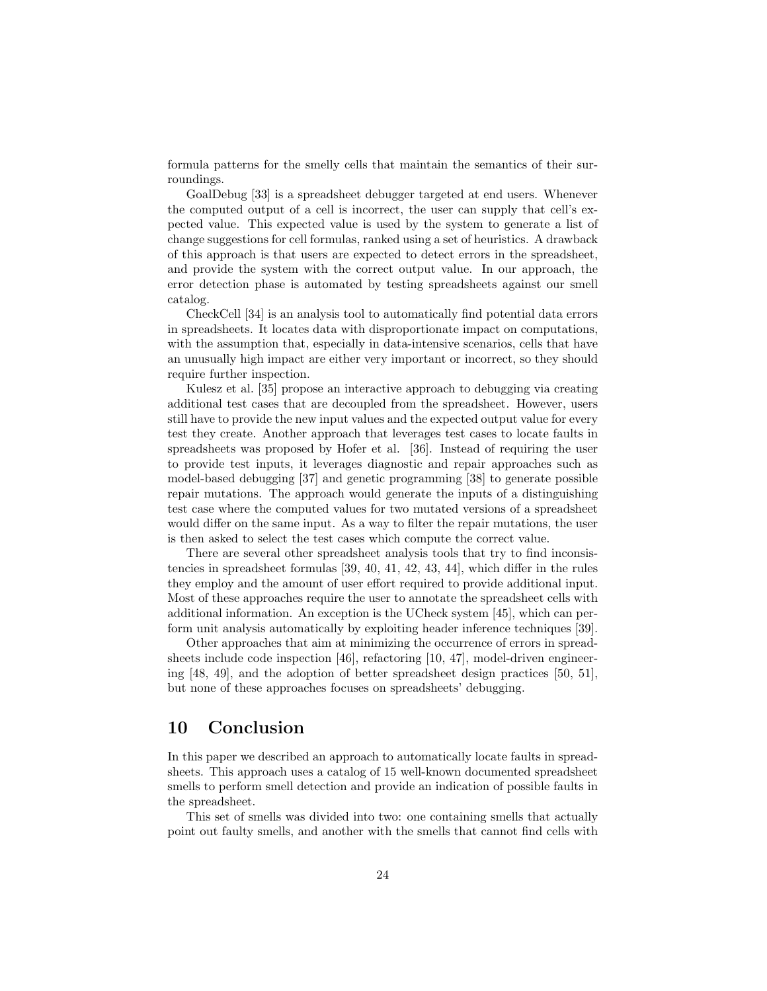formula patterns for the smelly cells that maintain the semantics of their surroundings.

GoalDebug [33] is a spreadsheet debugger targeted at end users. Whenever the computed output of a cell is incorrect, the user can supply that cell's expected value. This expected value is used by the system to generate a list of change suggestions for cell formulas, ranked using a set of heuristics. A drawback of this approach is that users are expected to detect errors in the spreadsheet, and provide the system with the correct output value. In our approach, the error detection phase is automated by testing spreadsheets against our smell catalog.

CheckCell [34] is an analysis tool to automatically find potential data errors in spreadsheets. It locates data with disproportionate impact on computations, with the assumption that, especially in data-intensive scenarios, cells that have an unusually high impact are either very important or incorrect, so they should require further inspection.

Kulesz et al. [35] propose an interactive approach to debugging via creating additional test cases that are decoupled from the spreadsheet. However, users still have to provide the new input values and the expected output value for every test they create. Another approach that leverages test cases to locate faults in spreadsheets was proposed by Hofer et al. [36]. Instead of requiring the user to provide test inputs, it leverages diagnostic and repair approaches such as model-based debugging [37] and genetic programming [38] to generate possible repair mutations. The approach would generate the inputs of a distinguishing test case where the computed values for two mutated versions of a spreadsheet would differ on the same input. As a way to filter the repair mutations, the user is then asked to select the test cases which compute the correct value.

There are several other spreadsheet analysis tools that try to find inconsistencies in spreadsheet formulas [39, 40, 41, 42, 43, 44], which differ in the rules they employ and the amount of user effort required to provide additional input. Most of these approaches require the user to annotate the spreadsheet cells with additional information. An exception is the UCheck system [45], which can perform unit analysis automatically by exploiting header inference techniques [39].

Other approaches that aim at minimizing the occurrence of errors in spreadsheets include code inspection [46], refactoring [10, 47], model-driven engineering [48, 49], and the adoption of better spreadsheet design practices [50, 51], but none of these approaches focuses on spreadsheets' debugging.

## 10 Conclusion

In this paper we described an approach to automatically locate faults in spreadsheets. This approach uses a catalog of 15 well-known documented spreadsheet smells to perform smell detection and provide an indication of possible faults in the spreadsheet.

This set of smells was divided into two: one containing smells that actually point out faulty smells, and another with the smells that cannot find cells with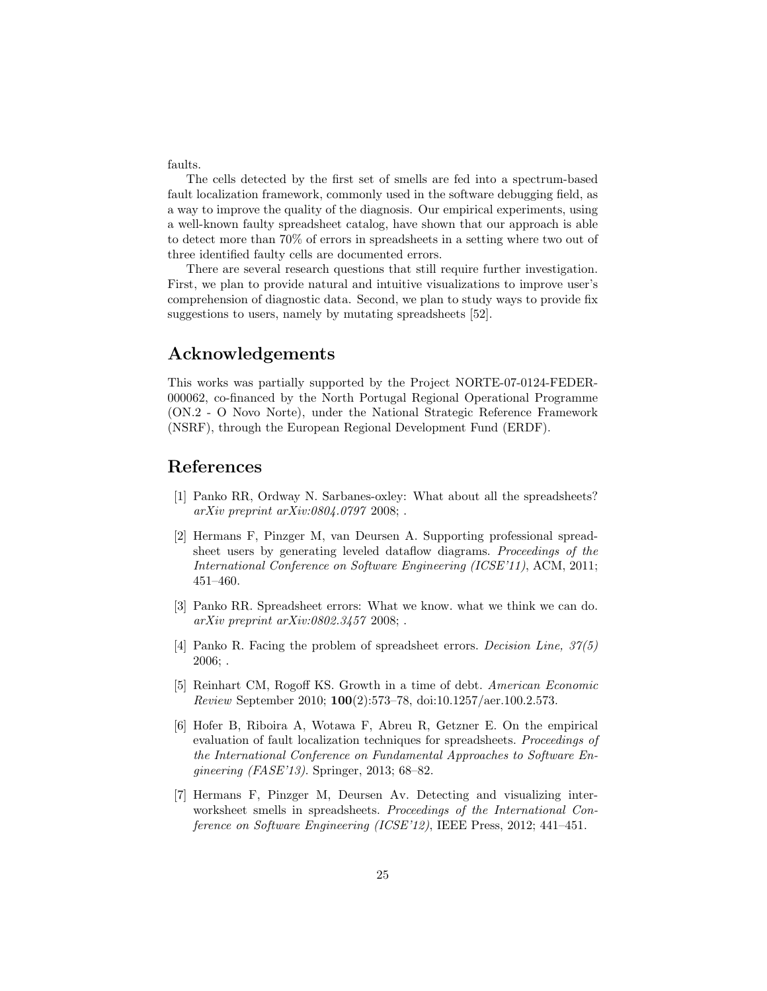faults.

The cells detected by the first set of smells are fed into a spectrum-based fault localization framework, commonly used in the software debugging field, as a way to improve the quality of the diagnosis. Our empirical experiments, using a well-known faulty spreadsheet catalog, have shown that our approach is able to detect more than 70% of errors in spreadsheets in a setting where two out of three identified faulty cells are documented errors.

There are several research questions that still require further investigation. First, we plan to provide natural and intuitive visualizations to improve user's comprehension of diagnostic data. Second, we plan to study ways to provide fix suggestions to users, namely by mutating spreadsheets [52].

### Acknowledgements

This works was partially supported by the Project NORTE-07-0124-FEDER-000062, co-financed by the North Portugal Regional Operational Programme (ON.2 - O Novo Norte), under the National Strategic Reference Framework (NSRF), through the European Regional Development Fund (ERDF).

## References

- [1] Panko RR, Ordway N. Sarbanes-oxley: What about all the spreadsheets? arXiv preprint arXiv:0804.0797 2008; .
- [2] Hermans F, Pinzger M, van Deursen A. Supporting professional spreadsheet users by generating leveled dataflow diagrams. Proceedings of the International Conference on Software Engineering (ICSE'11), ACM, 2011; 451–460.
- [3] Panko RR. Spreadsheet errors: What we know. what we think we can do. arXiv preprint arXiv:0802.3457 2008; .
- [4] Panko R. Facing the problem of spreadsheet errors. Decision Line, 37(5) 2006; .
- [5] Reinhart CM, Rogoff KS. Growth in a time of debt. American Economic Review September 2010; 100(2):573–78, doi:10.1257/aer.100.2.573.
- [6] Hofer B, Riboira A, Wotawa F, Abreu R, Getzner E. On the empirical evaluation of fault localization techniques for spreadsheets. Proceedings of the International Conference on Fundamental Approaches to Software Engineering (FASE'13). Springer, 2013; 68–82.
- [7] Hermans F, Pinzger M, Deursen Av. Detecting and visualizing interworksheet smells in spreadsheets. Proceedings of the International Conference on Software Engineering (ICSE'12), IEEE Press, 2012; 441–451.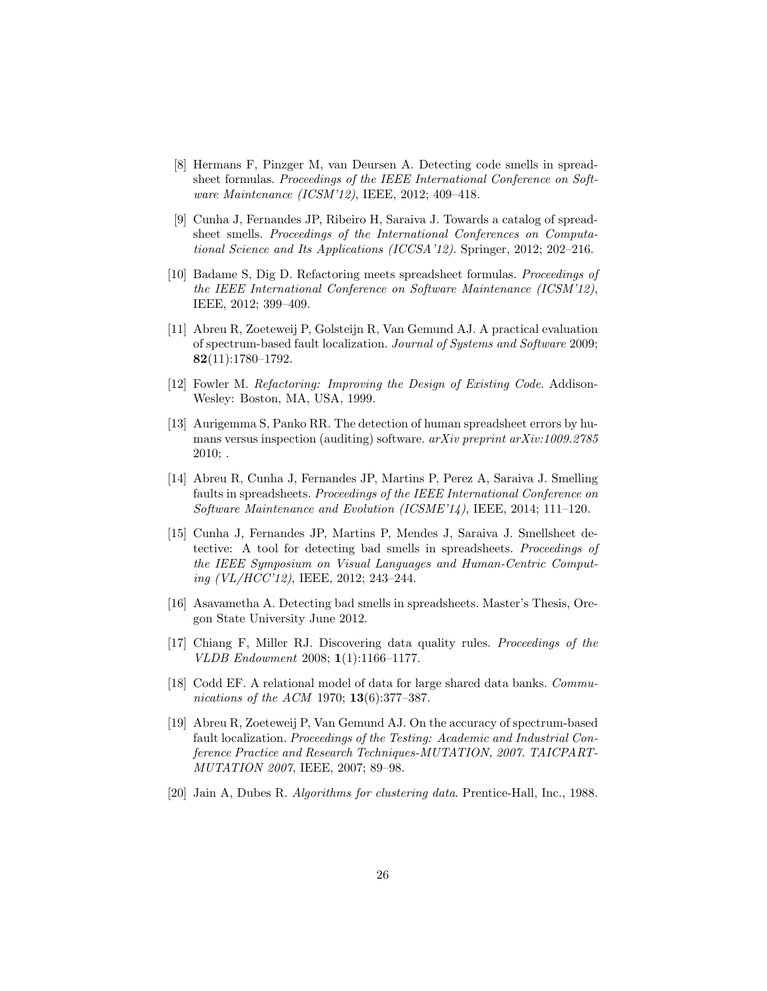- [8] Hermans F, Pinzger M, van Deursen A. Detecting code smells in spreadsheet formulas. Proceedings of the IEEE International Conference on Software Maintenance (ICSM'12), IEEE, 2012; 409–418.
- [9] Cunha J, Fernandes JP, Ribeiro H, Saraiva J. Towards a catalog of spreadsheet smells. Proceedings of the International Conferences on Computational Science and Its Applications (ICCSA'12). Springer, 2012; 202–216.
- [10] Badame S, Dig D. Refactoring meets spreadsheet formulas. Proceedings of the IEEE International Conference on Software Maintenance (ICSM'12), IEEE, 2012; 399–409.
- [11] Abreu R, Zoeteweij P, Golsteijn R, Van Gemund AJ. A practical evaluation of spectrum-based fault localization. Journal of Systems and Software 2009; 82(11):1780–1792.
- [12] Fowler M. Refactoring: Improving the Design of Existing Code. Addison-Wesley: Boston, MA, USA, 1999.
- [13] Aurigemma S, Panko RR. The detection of human spreadsheet errors by humans versus inspection (auditing) software. arXiv preprint arXiv:1009.2785 2010; .
- [14] Abreu R, Cunha J, Fernandes JP, Martins P, Perez A, Saraiva J. Smelling faults in spreadsheets. Proceedings of the IEEE International Conference on Software Maintenance and Evolution (ICSME'14), IEEE, 2014; 111–120.
- [15] Cunha J, Fernandes JP, Martins P, Mendes J, Saraiva J. Smellsheet detective: A tool for detecting bad smells in spreadsheets. Proceedings of the IEEE Symposium on Visual Languages and Human-Centric Computing (VL/HCC'12), IEEE, 2012; 243–244.
- [16] Asavametha A. Detecting bad smells in spreadsheets. Master's Thesis, Oregon State University June 2012.
- [17] Chiang F, Miller RJ. Discovering data quality rules. Proceedings of the VLDB Endowment 2008; 1(1):1166–1177.
- [18] Codd EF. A relational model of data for large shared data banks. *Commu*nications of the ACM 1970; **13**(6):377-387.
- [19] Abreu R, Zoeteweij P, Van Gemund AJ. On the accuracy of spectrum-based fault localization. Proceedings of the Testing: Academic and Industrial Conference Practice and Research Techniques-MUTATION, 2007. TAICPART-MUTATION 2007, IEEE, 2007; 89–98.
- [20] Jain A, Dubes R. Algorithms for clustering data. Prentice-Hall, Inc., 1988.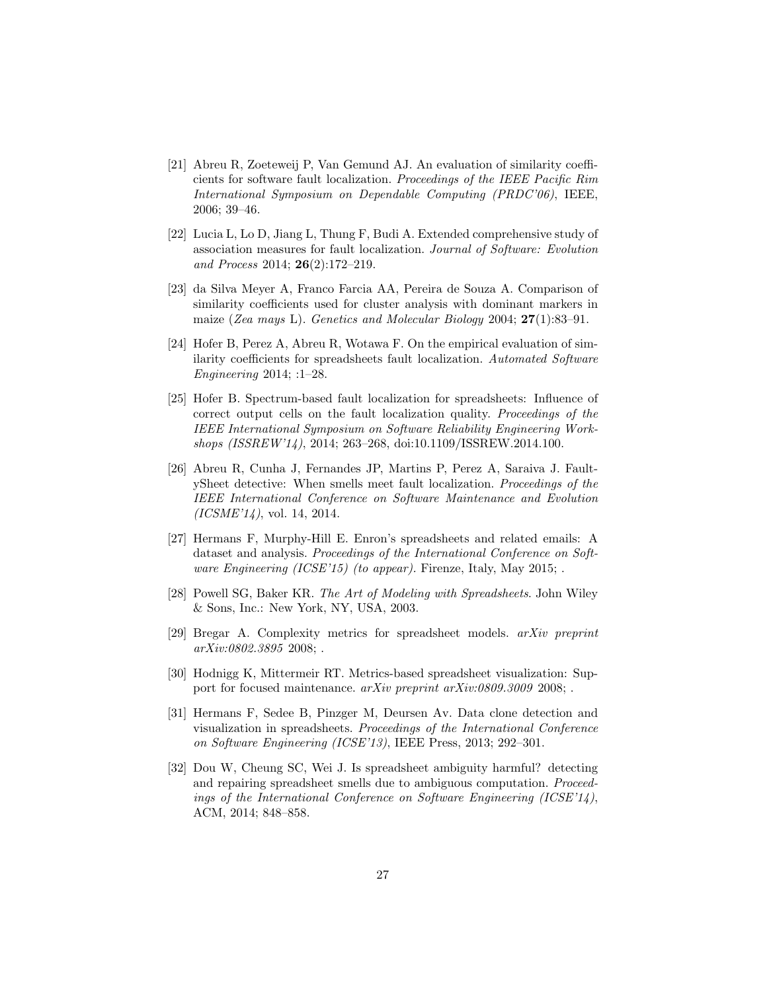- [21] Abreu R, Zoeteweij P, Van Gemund AJ. An evaluation of similarity coefficients for software fault localization. Proceedings of the IEEE Pacific Rim International Symposium on Dependable Computing (PRDC'06), IEEE, 2006; 39–46.
- [22] Lucia L, Lo D, Jiang L, Thung F, Budi A. Extended comprehensive study of association measures for fault localization. Journal of Software: Evolution and Process 2014; 26(2):172–219.
- [23] da Silva Meyer A, Franco Farcia AA, Pereira de Souza A. Comparison of similarity coefficients used for cluster analysis with dominant markers in maize (Zea mays L). Genetics and Molecular Biology 2004;  $27(1):83-91$ .
- [24] Hofer B, Perez A, Abreu R, Wotawa F. On the empirical evaluation of similarity coefficients for spreadsheets fault localization. Automated Software Engineering 2014; :1–28.
- [25] Hofer B. Spectrum-based fault localization for spreadsheets: Influence of correct output cells on the fault localization quality. Proceedings of the IEEE International Symposium on Software Reliability Engineering Workshops (ISSREW'14), 2014; 263–268, doi:10.1109/ISSREW.2014.100.
- [26] Abreu R, Cunha J, Fernandes JP, Martins P, Perez A, Saraiva J. FaultySheet detective: When smells meet fault localization. Proceedings of the IEEE International Conference on Software Maintenance and Evolution  $(ICSME'14)$ , vol. 14, 2014.
- [27] Hermans F, Murphy-Hill E. Enron's spreadsheets and related emails: A dataset and analysis. Proceedings of the International Conference on Software Engineering (ICSE'15) (to appear). Firenze, Italy, May 2015;.
- [28] Powell SG, Baker KR. The Art of Modeling with Spreadsheets. John Wiley & Sons, Inc.: New York, NY, USA, 2003.
- [29] Bregar A. Complexity metrics for spreadsheet models. arXiv preprint arXiv:0802.3895 2008; .
- [30] Hodnigg K, Mittermeir RT. Metrics-based spreadsheet visualization: Support for focused maintenance.  $arXiv$  preprint  $arXiv:0809.3009$  2008; .
- [31] Hermans F, Sedee B, Pinzger M, Deursen Av. Data clone detection and visualization in spreadsheets. Proceedings of the International Conference on Software Engineering (ICSE'13), IEEE Press, 2013; 292–301.
- [32] Dou W, Cheung SC, Wei J. Is spreadsheet ambiguity harmful? detecting and repairing spreadsheet smells due to ambiguous computation. Proceedings of the International Conference on Software Engineering (ICSE'14), ACM, 2014; 848–858.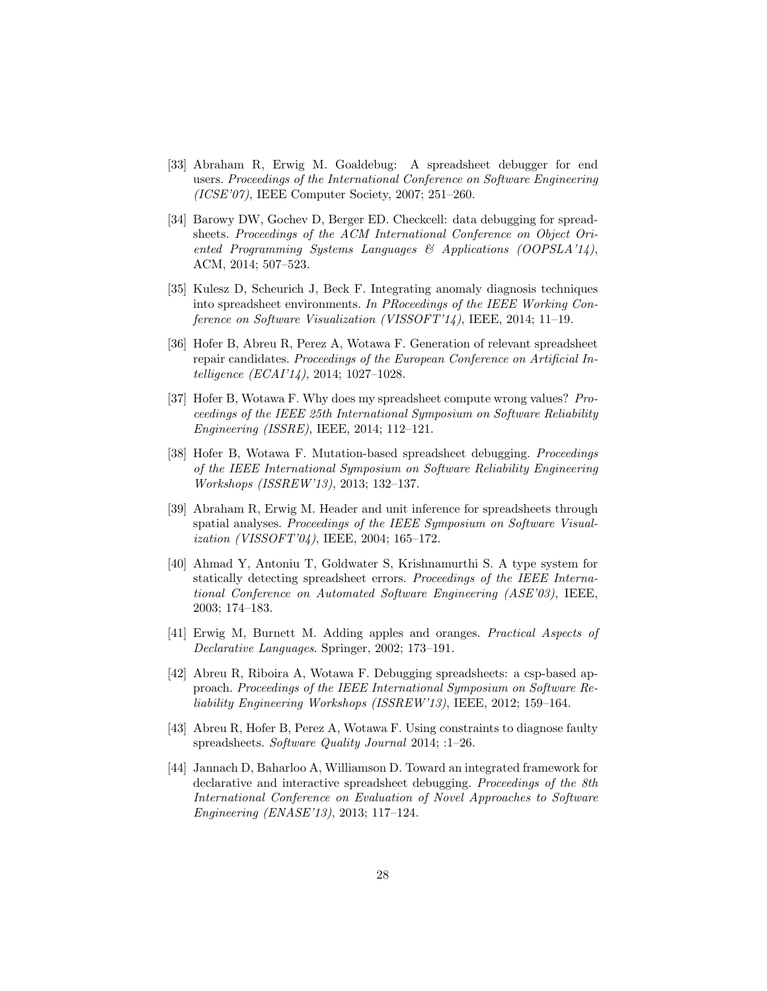- [33] Abraham R, Erwig M. Goaldebug: A spreadsheet debugger for end users. Proceedings of the International Conference on Software Engineering (ICSE'07), IEEE Computer Society, 2007; 251–260.
- [34] Barowy DW, Gochev D, Berger ED. Checkcell: data debugging for spreadsheets. Proceedings of the ACM International Conference on Object Oriented Programming Systems Languages  $\mathcal{B}$  Applications (OOPSLA'14), ACM, 2014; 507–523.
- [35] Kulesz D, Scheurich J, Beck F. Integrating anomaly diagnosis techniques into spreadsheet environments. In PRoceedings of the IEEE Working Conference on Software Visualization (VISSOFT'14), IEEE, 2014; 11–19.
- [36] Hofer B, Abreu R, Perez A, Wotawa F. Generation of relevant spreadsheet repair candidates. Proceedings of the European Conference on Artificial Intelligence (ECAI'14), 2014; 1027–1028.
- [37] Hofer B, Wotawa F. Why does my spreadsheet compute wrong values? Proceedings of the IEEE 25th International Symposium on Software Reliability Engineering (ISSRE), IEEE, 2014; 112–121.
- [38] Hofer B, Wotawa F. Mutation-based spreadsheet debugging. Proceedings of the IEEE International Symposium on Software Reliability Engineering Workshops (ISSREW'13), 2013; 132–137.
- [39] Abraham R, Erwig M. Header and unit inference for spreadsheets through spatial analyses. Proceedings of the IEEE Symposium on Software Visualization (VISSOFT'04), IEEE, 2004; 165–172.
- [40] Ahmad Y, Antoniu T, Goldwater S, Krishnamurthi S. A type system for statically detecting spreadsheet errors. Proceedings of the IEEE International Conference on Automated Software Engineering (ASE'03), IEEE, 2003; 174–183.
- [41] Erwig M, Burnett M. Adding apples and oranges. Practical Aspects of Declarative Languages. Springer, 2002; 173–191.
- [42] Abreu R, Riboira A, Wotawa F. Debugging spreadsheets: a csp-based approach. Proceedings of the IEEE International Symposium on Software Reliability Engineering Workshops (ISSREW'13), IEEE, 2012; 159–164.
- [43] Abreu R, Hofer B, Perez A, Wotawa F. Using constraints to diagnose faulty spreadsheets. Software Quality Journal 2014; :1–26.
- [44] Jannach D, Baharloo A, Williamson D. Toward an integrated framework for declarative and interactive spreadsheet debugging. Proceedings of the 8th International Conference on Evaluation of Novel Approaches to Software Engineering (ENASE'13), 2013; 117–124.